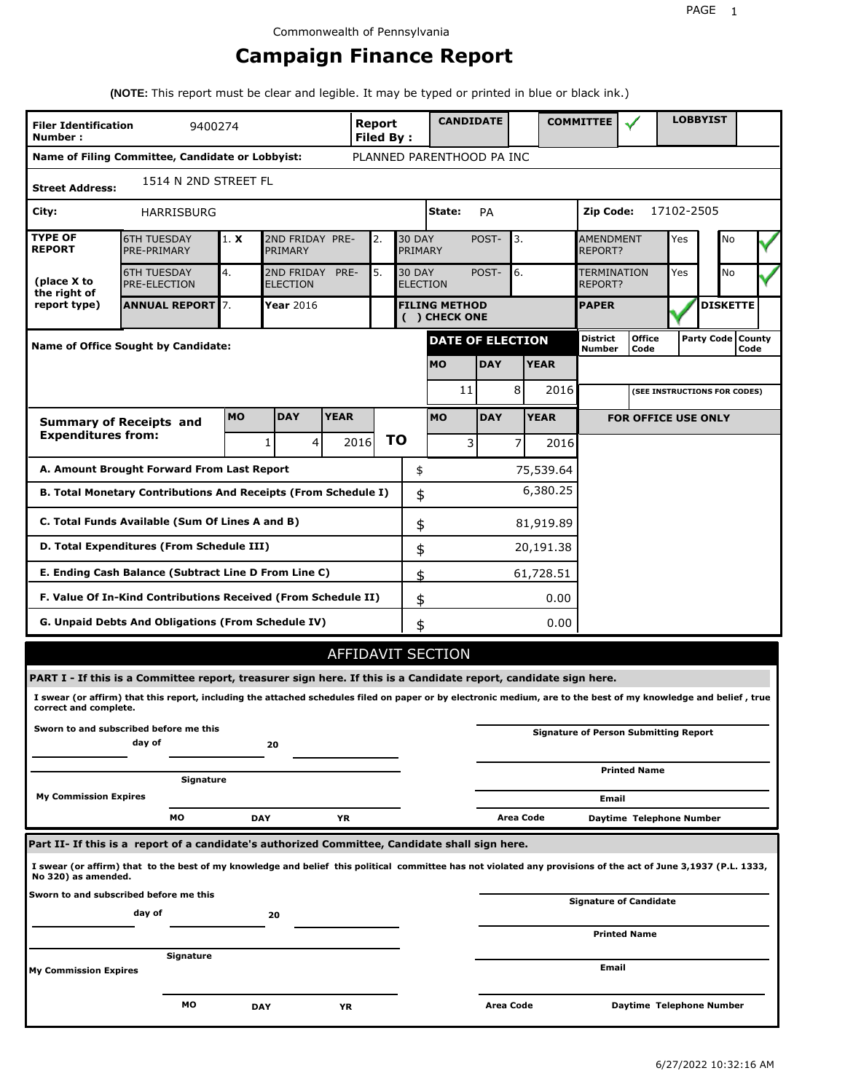# **Campaign Finance Report**

**(NOTE:** This report must be clear and legible. It may be typed or printed in blue or black ink.)

| <b>Filer Identification</b><br>Number: | 9400274                                                                                                                                                         |            |                               |             | Report<br><b>Filed By:</b> |    |                                  | <b>CANDIDATE</b>                      |            |                |             | <b>COMMITTEE</b>            |                                              |            | <b>LOBBYIST</b>              |                             |
|----------------------------------------|-----------------------------------------------------------------------------------------------------------------------------------------------------------------|------------|-------------------------------|-------------|----------------------------|----|----------------------------------|---------------------------------------|------------|----------------|-------------|-----------------------------|----------------------------------------------|------------|------------------------------|-----------------------------|
|                                        | Name of Filing Committee, Candidate or Lobbyist:                                                                                                                |            |                               |             |                            |    |                                  | PLANNED PARENTHOOD PA INC             |            |                |             |                             |                                              |            |                              |                             |
| <b>Street Address:</b>                 | 1514 N 2ND STREET FL                                                                                                                                            |            |                               |             |                            |    |                                  |                                       |            |                |             |                             |                                              |            |                              |                             |
| City:                                  | <b>HARRISBURG</b>                                                                                                                                               |            |                               |             |                            |    |                                  | State:                                | PA         |                |             | Zip Code:                   |                                              | 17102-2505 |                              |                             |
| <b>TYPE OF</b><br><b>REPORT</b>        | <b>6TH TUESDAY</b><br>PRE-PRIMARY                                                                                                                               | 1. X       | 2ND FRIDAY PRE-<br>PRIMARY    |             | 2.                         |    | <b>30 DAY</b><br>PRIMARY         |                                       | POST-      | 3.             |             | <b>AMENDMENT</b><br>REPORT? |                                              | Yes        | No                           |                             |
| (place X to<br>the right of            | <b>6TH TUESDAY</b><br><b>PRE-ELECTION</b>                                                                                                                       | 4.         | 2ND FRIDAY<br><b>ELECTION</b> | PRE-        | 5.                         |    | <b>30 DAY</b><br><b>ELECTION</b> |                                       | POST-      | 6.             |             | TERMINATION<br>REPORT?      |                                              | Yes        | <b>No</b>                    |                             |
| report type)                           | <b>ANNUAL REPORT 7.</b>                                                                                                                                         |            | Year 2016                     |             |                            |    |                                  | <b>FILING METHOD</b><br>( ) CHECK ONE |            |                |             | <b>PAPER</b>                |                                              |            | <b>DISKETTE</b>              |                             |
|                                        | <b>Name of Office Sought by Candidate:</b>                                                                                                                      |            |                               |             |                            |    |                                  | <b>DATE OF ELECTION</b>               |            |                |             | District<br>Number          | <b>Office</b><br>Code                        |            |                              | Party Code   County<br>Code |
|                                        |                                                                                                                                                                 |            |                               |             |                            |    |                                  | <b>MO</b>                             | <b>DAY</b> |                | <b>YEAR</b> |                             |                                              |            |                              |                             |
|                                        |                                                                                                                                                                 |            |                               |             |                            |    |                                  | 11                                    |            | 8              | 2016        |                             |                                              |            | (SEE INSTRUCTIONS FOR CODES) |                             |
|                                        | <b>Summary of Receipts and</b>                                                                                                                                  | <b>MO</b>  | <b>DAY</b>                    | <b>YEAR</b> |                            |    |                                  | <b>MO</b>                             | <b>DAY</b> |                | <b>YEAR</b> |                             | <b>FOR OFFICE USE ONLY</b>                   |            |                              |                             |
| <b>Expenditures from:</b>              |                                                                                                                                                                 |            | $\overline{4}$<br>1           |             | 2016                       | ΤO |                                  | 3                                     |            | $\overline{7}$ | 2016        |                             |                                              |            |                              |                             |
|                                        | A. Amount Brought Forward From Last Report                                                                                                                      |            |                               |             |                            |    | \$                               |                                       |            |                | 75,539.64   |                             |                                              |            |                              |                             |
|                                        | B. Total Monetary Contributions And Receipts (From Schedule I)                                                                                                  |            |                               |             |                            |    | \$                               |                                       |            |                | 6,380.25    |                             |                                              |            |                              |                             |
|                                        | C. Total Funds Available (Sum Of Lines A and B)                                                                                                                 |            |                               |             |                            |    | \$                               |                                       |            |                | 81,919.89   |                             |                                              |            |                              |                             |
|                                        | D. Total Expenditures (From Schedule III)                                                                                                                       |            |                               |             |                            |    | \$                               |                                       |            |                | 20,191.38   |                             |                                              |            |                              |                             |
|                                        | E. Ending Cash Balance (Subtract Line D From Line C)                                                                                                            |            |                               |             |                            |    | \$                               |                                       |            |                | 61,728.51   |                             |                                              |            |                              |                             |
|                                        | F. Value Of In-Kind Contributions Received (From Schedule II)                                                                                                   |            |                               |             |                            |    | \$                               |                                       |            |                | 0.00        |                             |                                              |            |                              |                             |
|                                        | G. Unpaid Debts And Obligations (From Schedule IV)                                                                                                              |            |                               |             |                            |    | \$                               |                                       |            |                | 0.00        |                             |                                              |            |                              |                             |
|                                        |                                                                                                                                                                 |            |                               |             |                            |    |                                  | AFFIDAVIT SECTION                     |            |                |             |                             |                                              |            |                              |                             |
|                                        | PART I - If this is a Committee report, treasurer sign here. If this is a Candidate report, candidate sign here.                                                |            |                               |             |                            |    |                                  |                                       |            |                |             |                             |                                              |            |                              |                             |
| correct and complete.                  | I swear (or affirm) that this report, including the attached schedules filed on paper or by electronic medium, are to the best of my knowledge and belief, true |            |                               |             |                            |    |                                  |                                       |            |                |             |                             |                                              |            |                              |                             |
|                                        | Sworn to and subscribed before me this<br>day of                                                                                                                |            | 20                            |             |                            |    |                                  |                                       |            |                |             |                             | <b>Signature of Person Submitting Report</b> |            |                              |                             |
|                                        |                                                                                                                                                                 |            |                               |             |                            |    |                                  |                                       |            |                |             |                             | <b>Printed Name</b>                          |            |                              |                             |
| <b>My Commission Expires</b>           | Signature                                                                                                                                                       |            |                               |             |                            |    |                                  |                                       |            |                |             |                             |                                              |            |                              |                             |
|                                        | МO                                                                                                                                                              | <b>DAY</b> |                               | ΥR          |                            |    |                                  |                                       |            | Area Code      |             | Email                       | Daytime Telephone Number                     |            |                              |                             |
|                                        | Part II- If this is a report of a candidate's authorized Committee, Candidate shall sign here.                                                                  |            |                               |             |                            |    |                                  |                                       |            |                |             |                             |                                              |            |                              |                             |
| No 320) as amended.                    | I swear (or affirm) that to the best of my knowledge and belief this political committee has not violated any provisions of the act of June 3,1937 (P.L. 1333,  |            |                               |             |                            |    |                                  |                                       |            |                |             |                             |                                              |            |                              |                             |
|                                        | Sworn to and subscribed before me this                                                                                                                          |            |                               |             |                            |    |                                  |                                       |            |                |             |                             | <b>Signature of Candidate</b>                |            |                              |                             |
|                                        | day of                                                                                                                                                          |            | 20                            |             |                            |    |                                  |                                       |            |                |             |                             | <b>Printed Name</b>                          |            |                              |                             |
|                                        | Signature                                                                                                                                                       |            |                               |             |                            |    |                                  |                                       |            |                |             |                             |                                              |            |                              |                             |
| <b>My Commission Expires</b>           |                                                                                                                                                                 |            |                               |             |                            |    |                                  |                                       |            |                |             | Email                       |                                              |            |                              |                             |
|                                        | мо                                                                                                                                                              | <b>DAY</b> |                               | ΥR          |                            |    |                                  |                                       |            | Area Code      |             |                             | Daytime Telephone Number                     |            |                              |                             |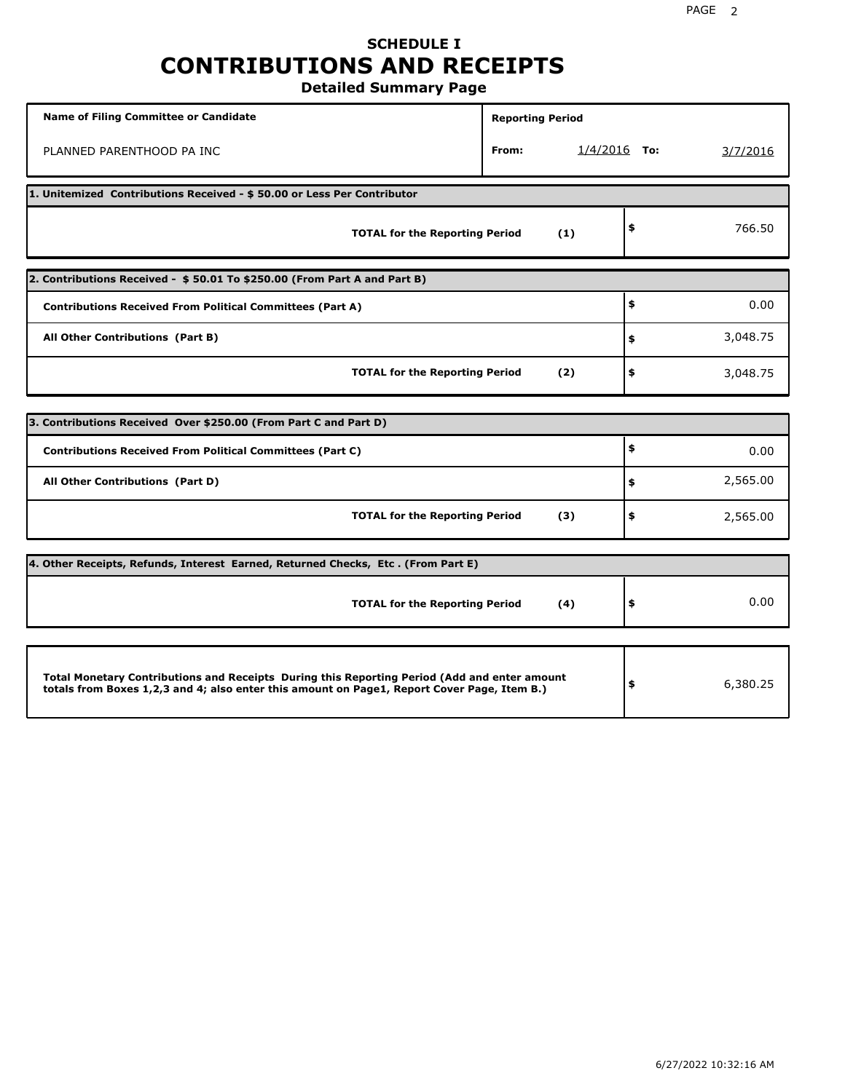## **SCHEDULE I CONTRIBUTIONS AND RECEIPTS Detailed Summary Page**

**Name of Filing Committee or Candidate Reporting Period Reporting Period** PLANNED PARENTHOOD PA INC **From:** 1/4/2016 **To:** 3/7/2016 **1. Unitemized Contributions Received - \$ 50.00 or Less Per Contributor TOTAL for the Reporting Period (1) \$** 766.50 **2. Contributions Received - \$ 50.01 To \$250.00 (From Part A and Part B) TOTAL for the Reporting Period (2) Contributions Received From Political Committees (Part A) All Other Contributions (Part B) \$ \$ \$** 0.00 3,048.75 3,048.75 **3. Contributions Received Over \$250.00 (From Part C and Part D) TOTAL for the Reporting Period (3) Contributions Received From Political Committees (Part C) All Other Contributions (Part D) \$ \$ \$** 0.00 2,565.00 2,565.00 **4. Other Receipts, Refunds, Interest Earned, Returned Checks, Etc . (From Part E) TOTAL for the Reporting Period (4) \$** 0.00 **Total Monetary Contributions and Receipts During this Reporting Period (Add and enter amount totals from Boxes 1,2,3 and 4; also enter this amount on Page1, Report Cover Page, Item B.) \$** 6,380.25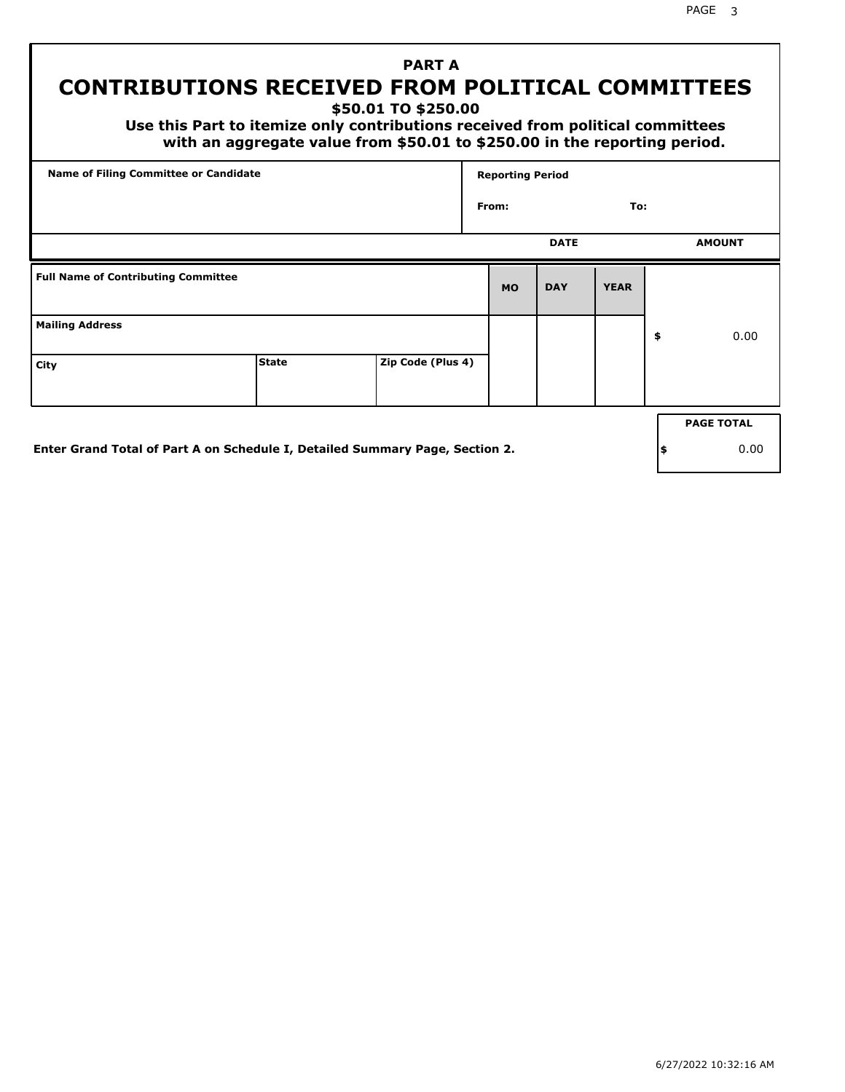PAGE 3

## **PART A CONTRIBUTIONS RECEIVED FROM POLITICAL COMMITTEES**

**\$50.01 TO \$250.00**

 **Use this Part to itemize only contributions received from political committees with an aggregate value from \$50.01 to \$250.00 in the reporting period.**

| Name of Filing Committee or Candidate      |                                                                              |                   | <b>Reporting Period</b> |             |             |     |                   |
|--------------------------------------------|------------------------------------------------------------------------------|-------------------|-------------------------|-------------|-------------|-----|-------------------|
|                                            |                                                                              |                   | From:                   |             | To:         |     |                   |
|                                            |                                                                              |                   |                         | <b>DATE</b> |             |     | <b>AMOUNT</b>     |
| <b>Full Name of Contributing Committee</b> |                                                                              |                   | <b>MO</b>               | <b>DAY</b>  | <b>YEAR</b> |     |                   |
| <b>Mailing Address</b>                     |                                                                              |                   |                         |             |             | \$  | 0.00              |
| City                                       | <b>State</b>                                                                 | Zip Code (Plus 4) |                         |             |             |     |                   |
|                                            |                                                                              |                   |                         |             |             |     | <b>PAGE TOTAL</b> |
|                                            | Enter Grand Total of Part A on Schedule I, Detailed Summary Page, Section 2. |                   |                         |             |             | ∣\$ | 0.00              |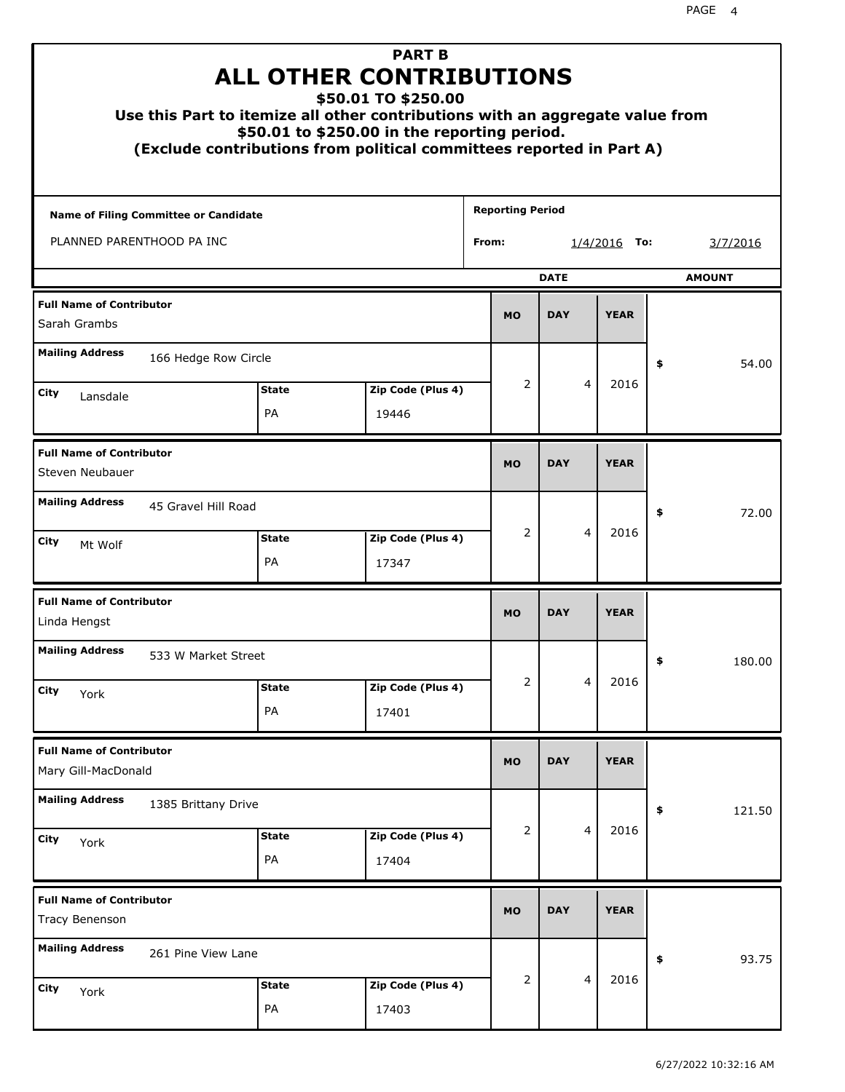| Use this Part to itemize all other contributions with an aggregate value from<br>(Exclude contributions from political committees reported in Part A) |                           | <b>PART B</b><br><b>ALL OTHER CONTRIBUTIONS</b><br>\$50.01 TO \$250.00<br>\$50.01 to \$250.00 in the reporting period. |                         |                         |               |              |
|-------------------------------------------------------------------------------------------------------------------------------------------------------|---------------------------|------------------------------------------------------------------------------------------------------------------------|-------------------------|-------------------------|---------------|--------------|
| Name of Filing Committee or Candidate                                                                                                                 |                           |                                                                                                                        | <b>Reporting Period</b> |                         |               |              |
| PLANNED PARENTHOOD PA INC                                                                                                                             |                           |                                                                                                                        | From:                   | $1/4/2016$ To:          | 3/7/2016      |              |
|                                                                                                                                                       |                           |                                                                                                                        | <b>DATE</b>             |                         | <b>AMOUNT</b> |              |
| <b>Full Name of Contributor</b><br>Sarah Grambs                                                                                                       | <b>MO</b>                 | <b>DAY</b>                                                                                                             | <b>YEAR</b>             |                         |               |              |
| <b>Mailing Address</b><br>166 Hedge Row Circle                                                                                                        |                           |                                                                                                                        |                         |                         |               | \$<br>54.00  |
| City                                                                                                                                                  | <b>State</b>              | Zip Code (Plus 4)                                                                                                      | 2                       | $\overline{\mathbf{4}}$ | 2016          |              |
| Lansdale                                                                                                                                              | <b>PA</b>                 | 19446                                                                                                                  |                         |                         |               |              |
| <b>Full Name of Contributor</b><br>Steven Neubauer                                                                                                    | <b>MO</b>                 | <b>DAY</b>                                                                                                             | <b>YEAR</b>             |                         |               |              |
| <b>Mailing Address</b><br>45 Gravel Hill Road                                                                                                         |                           |                                                                                                                        |                         |                         |               | \$<br>72.00  |
| City<br>Mt Wolf                                                                                                                                       | <b>State</b><br><b>PA</b> | Zip Code (Plus 4)<br>17347                                                                                             | 2                       | $\overline{\mathbf{4}}$ | 2016          |              |
| <b>Full Name of Contributor</b><br>Linda Hengst                                                                                                       |                           |                                                                                                                        | <b>MO</b>               | <b>DAY</b>              | <b>YEAR</b>   |              |
| <b>Mailing Address</b><br>533 W Market Street                                                                                                         |                           |                                                                                                                        |                         |                         |               | 180.00<br>Ş  |
| City<br>York                                                                                                                                          | <b>State</b>              | Zip Code (Plus 4)                                                                                                      | 2                       | 4                       | 2016          |              |
|                                                                                                                                                       | PA                        | 17401                                                                                                                  |                         |                         |               |              |
| <b>Full Name of Contributor</b><br>Mary Gill-MacDonald                                                                                                |                           |                                                                                                                        | <b>MO</b>               | <b>DAY</b>              | <b>YEAR</b>   |              |
| <b>Mailing Address</b><br>1385 Brittany Drive                                                                                                         |                           |                                                                                                                        |                         |                         |               | \$<br>121.50 |
| City<br>York                                                                                                                                          | <b>State</b><br>PA        | Zip Code (Plus 4)<br>17404                                                                                             | 2                       | $\overline{4}$          | 2016          |              |
| <b>Full Name of Contributor</b><br><b>Tracy Benenson</b>                                                                                              |                           |                                                                                                                        | <b>MO</b>               | <b>DAY</b>              | <b>YEAR</b>   |              |
| <b>Mailing Address</b><br>261 Pine View Lane                                                                                                          |                           |                                                                                                                        |                         | 93.75<br>\$             |               |              |
| City<br>York                                                                                                                                          | <b>State</b><br>PA        | Zip Code (Plus 4)<br>17403                                                                                             | $\overline{2}$          | $\overline{4}$          | 2016          |              |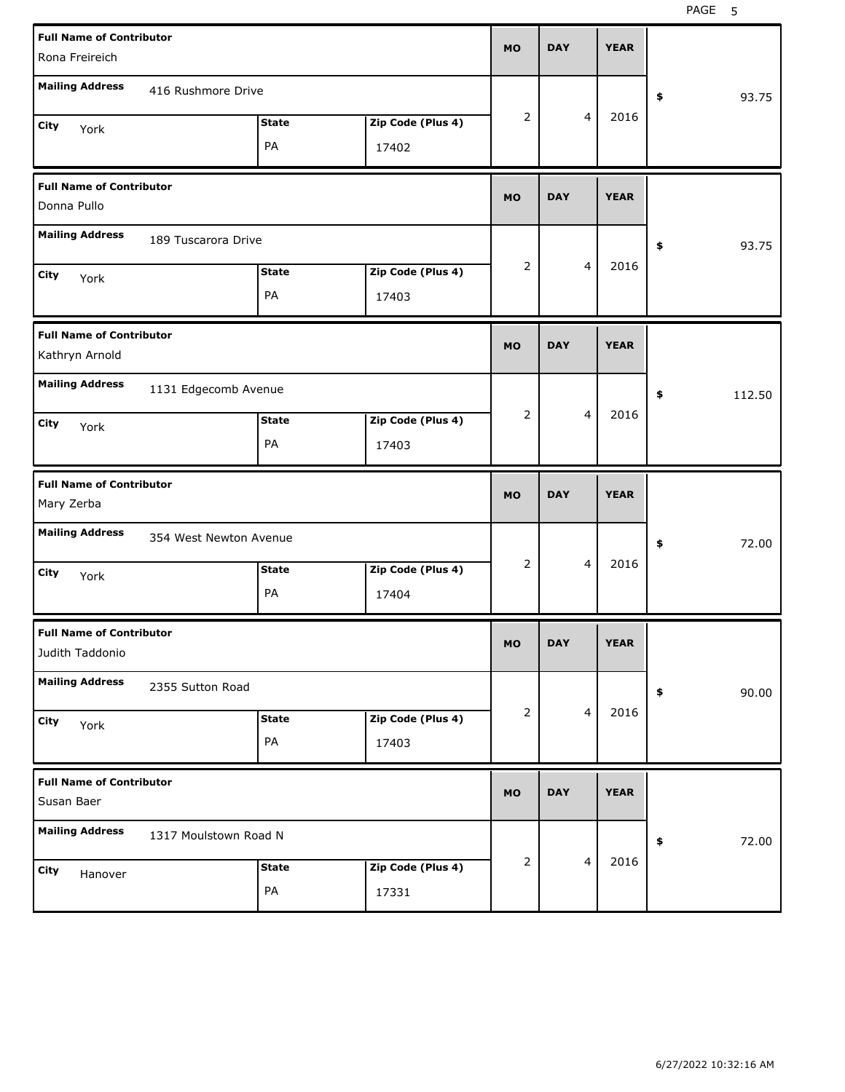PAGE 5

|                                 | <b>Full Name of Contributor</b> |                      |                   |                |            |   | <b>YEAR</b> |             |        |
|---------------------------------|---------------------------------|----------------------|-------------------|----------------|------------|---|-------------|-------------|--------|
| Rona Freireich                  |                                 |                      |                   | <b>MO</b>      | <b>DAY</b> |   |             |             |        |
| <b>Mailing Address</b>          | 416 Rushmore Drive              |                      |                   |                |            |   |             | \$          | 93.75  |
| <b>City</b><br>York             |                                 | <b>State</b>         | Zip Code (Plus 4) | 2              |            | 4 | 2016        |             |        |
|                                 |                                 | PA                   | 17402             |                |            |   |             |             |        |
| <b>Full Name of Contributor</b> |                                 |                      |                   | <b>MO</b>      | <b>DAY</b> |   | <b>YEAR</b> |             |        |
| Donna Pullo                     |                                 |                      |                   |                |            |   |             |             |        |
| <b>Mailing Address</b>          | 189 Tuscarora Drive             |                      |                   |                |            |   |             | \$          | 93.75  |
| <b>City</b><br>York             |                                 | <b>State</b>         | Zip Code (Plus 4) | $\overline{2}$ |            | 4 | 2016        |             |        |
|                                 |                                 | PA                   | 17403             |                |            |   |             |             |        |
| <b>Full Name of Contributor</b> | <b>MO</b>                       | <b>DAY</b>           |                   | <b>YEAR</b>    |            |   |             |             |        |
| Kathryn Arnold                  |                                 |                      |                   |                |            |   |             |             |        |
| <b>Mailing Address</b>          |                                 | 1131 Edgecomb Avenue |                   |                |            |   |             | \$          | 112.50 |
| <b>City</b><br>York             |                                 | <b>State</b>         | Zip Code (Plus 4) | 2              |            | 4 | 2016        |             |        |
|                                 |                                 | PA                   | 17403             |                |            |   |             |             |        |
|                                 |                                 |                      |                   |                |            |   |             |             |        |
| <b>Full Name of Contributor</b> |                                 |                      |                   | <b>MO</b>      | <b>DAY</b> |   | <b>YEAR</b> |             |        |
| Mary Zerba                      |                                 |                      |                   |                |            |   |             |             |        |
| <b>Mailing Address</b>          | 354 West Newton Avenue          |                      |                   |                |            |   |             | \$          | 72.00  |
| <b>City</b><br>York             |                                 | <b>State</b>         | Zip Code (Plus 4) | 2              |            | 4 | 2016        |             |        |
|                                 |                                 | PA                   | 17404             |                |            |   |             |             |        |
| <b>Full Name of Contributor</b> |                                 |                      |                   | <b>MO</b>      | DAY        |   | YEAK        |             |        |
| Judith Taddonio                 |                                 |                      |                   |                |            |   |             |             |        |
| <b>Mailing Address</b>          | 2355 Sutton Road                |                      |                   |                |            |   |             | $\clubsuit$ | 90.00  |
| City<br>York                    |                                 | <b>State</b>         | Zip Code (Plus 4) | 2              |            | 4 | 2016        |             |        |
|                                 |                                 | PA                   | 17403             |                |            |   |             |             |        |
| <b>Full Name of Contributor</b> |                                 |                      |                   | <b>MO</b>      | <b>DAY</b> |   | <b>YEAR</b> |             |        |
| Susan Baer                      |                                 |                      |                   |                |            |   |             |             |        |
| <b>Mailing Address</b>          | 1317 Moulstown Road N           |                      |                   |                |            |   |             | $\pmb{\$}$  | 72.00  |
| City<br>Hanover                 |                                 | <b>State</b>         | Zip Code (Plus 4) | 2              |            | 4 | 2016        |             |        |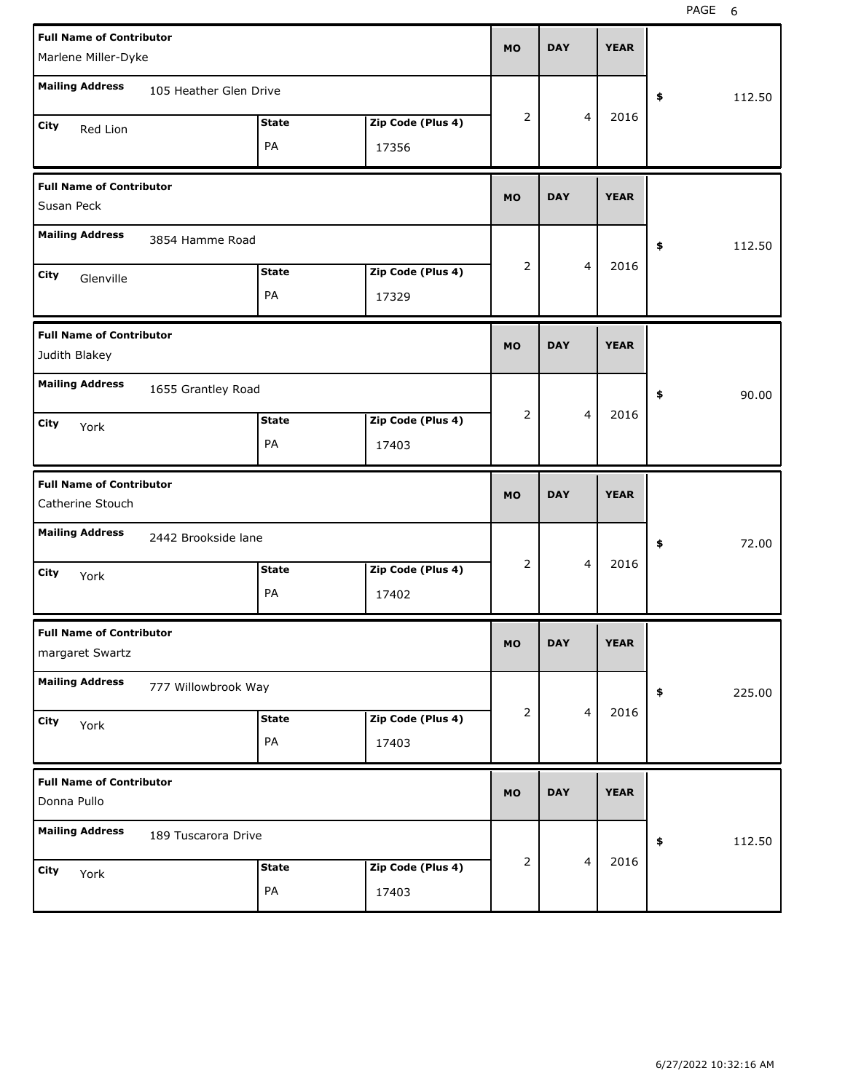|                                                     | <b>Full Name of Contributor</b><br>Marlene Miller-Dyke |              |                   |             |            |                | <b>YEAR</b> |              |
|-----------------------------------------------------|--------------------------------------------------------|--------------|-------------------|-------------|------------|----------------|-------------|--------------|
| <b>Mailing Address</b>                              | 105 Heather Glen Drive                                 |              |                   |             |            |                |             | \$<br>112.50 |
| City<br>Red Lion                                    |                                                        | <b>State</b> | Zip Code (Plus 4) | 2           |            | 4              | 2016        |              |
|                                                     |                                                        | PA           | 17356             |             |            |                |             |              |
| <b>Full Name of Contributor</b><br>Susan Peck       |                                                        |              |                   | <b>MO</b>   | <b>DAY</b> |                | <b>YEAR</b> |              |
| <b>Mailing Address</b>                              | 3854 Hamme Road                                        |              |                   |             |            |                |             | \$<br>112.50 |
| City<br>Glenville                                   |                                                        | <b>State</b> | Zip Code (Plus 4) | 2           |            | 4              | 2016        |              |
|                                                     |                                                        | PA           | 17329             |             |            |                |             |              |
| <b>Full Name of Contributor</b><br>Judith Blakey    | <b>MO</b>                                              | <b>DAY</b>   |                   | <b>YEAR</b> |            |                |             |              |
| <b>Mailing Address</b>                              | 1655 Grantley Road                                     |              |                   |             |            |                |             | \$<br>90.00  |
| City<br>York                                        |                                                        | <b>State</b> | Zip Code (Plus 4) | 2           |            | $\overline{4}$ | 2016        |              |
|                                                     |                                                        | PA           | 17403             |             |            |                |             |              |
|                                                     |                                                        |              |                   |             |            |                |             |              |
| <b>Full Name of Contributor</b><br>Catherine Stouch |                                                        |              |                   | <b>MO</b>   | <b>DAY</b> |                | <b>YEAR</b> |              |
| <b>Mailing Address</b>                              | 2442 Brookside lane                                    |              |                   |             |            |                |             | \$<br>72.00  |
| City                                                |                                                        | <b>State</b> | Zip Code (Plus 4) | 2           |            | 4              | 2016        |              |
| York                                                |                                                        | PA           | 17402             |             |            |                |             |              |
| <b>Full Name of Contributor</b><br>margaret Swartz  |                                                        |              |                   | МO          | <b>DAY</b> |                | <b>YEAR</b> |              |
| <b>Mailing Address</b>                              | 777 Willowbrook Way                                    |              |                   |             |            |                |             | \$<br>225.00 |
| City                                                |                                                        | <b>State</b> | Zip Code (Plus 4) | 2           |            | $\overline{4}$ | 2016        |              |
| York                                                |                                                        | PA           | 17403             |             |            |                |             |              |
| <b>Full Name of Contributor</b><br>Donna Pullo      |                                                        |              |                   | <b>MO</b>   | <b>DAY</b> |                | <b>YEAR</b> |              |
| <b>Mailing Address</b>                              | 189 Tuscarora Drive                                    |              |                   |             |            |                |             | \$<br>112.50 |
| City<br>York                                        |                                                        | <b>State</b> | Zip Code (Plus 4) | 2           |            | $\overline{4}$ | 2016        |              |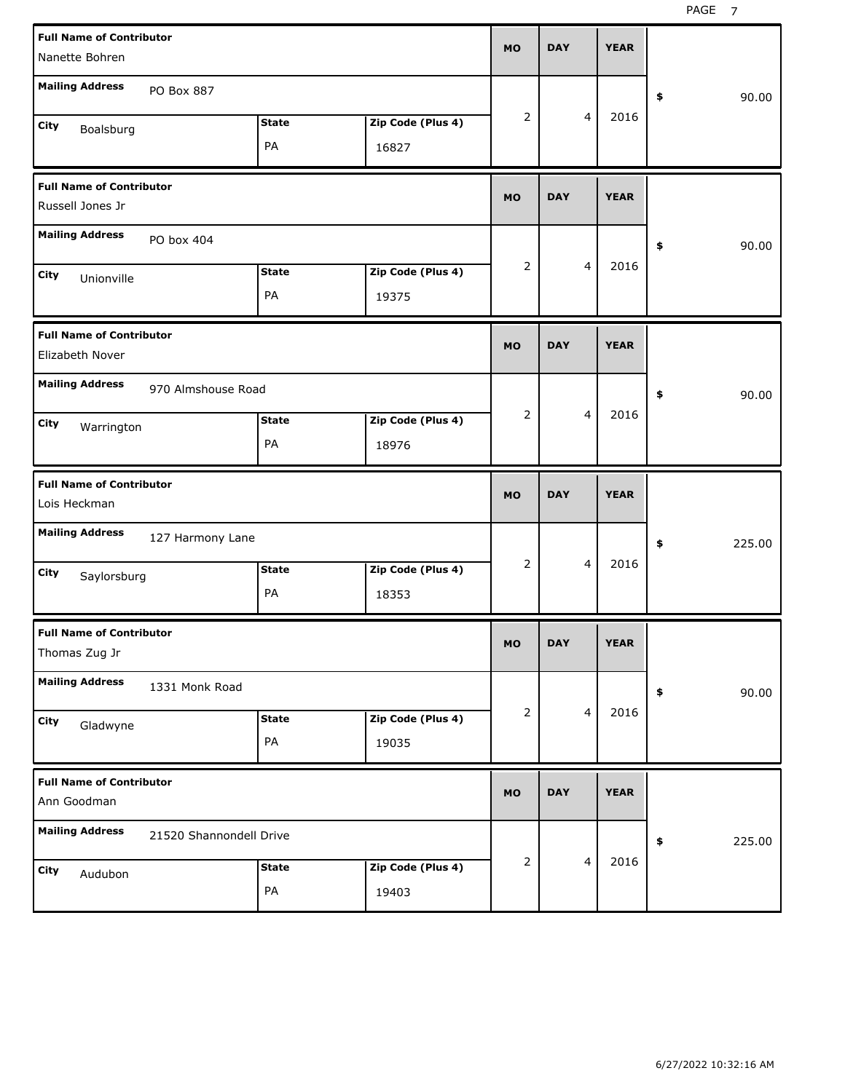| <b>Full Name of Contributor</b><br>Nanette Bohren                       | <b>MO</b> | <b>DAY</b> | <b>YEAR</b> |              |
|-------------------------------------------------------------------------|-----------|------------|-------------|--------------|
| <b>Mailing Address</b><br>PO Box 887                                    |           |            |             | 90.00<br>\$  |
| <b>State</b><br>Zip Code (Plus 4)<br>City<br>Boalsburg<br>PA<br>16827   | 2         | 4          | 2016        |              |
| <b>Full Name of Contributor</b><br>Russell Jones Jr                     | <b>MO</b> | <b>DAY</b> | <b>YEAR</b> |              |
| <b>Mailing Address</b><br>PO box 404                                    |           |            |             | 90.00<br>\$  |
| <b>State</b><br>Zip Code (Plus 4)<br>City<br>Unionville<br>PA<br>19375  | 2         | 4          | 2016        |              |
| <b>Full Name of Contributor</b><br>Elizabeth Nover                      | <b>MO</b> | <b>DAY</b> | <b>YEAR</b> |              |
| <b>Mailing Address</b><br>970 Almshouse Road                            |           |            |             | 90.00<br>\$  |
| Zip Code (Plus 4)<br><b>State</b><br>City<br>Warrington<br>PA<br>18976  | 2         | 4          | 2016        |              |
|                                                                         |           |            |             |              |
| <b>Full Name of Contributor</b><br>Lois Heckman                         | <b>MO</b> | <b>DAY</b> | <b>YEAR</b> |              |
| <b>Mailing Address</b><br>127 Harmony Lane                              |           |            |             | 225.00<br>\$ |
| <b>State</b><br>Zip Code (Plus 4)<br>City<br>Saylorsburg<br>PA<br>18353 | 2         | 4          | 2016        |              |
| <b>Full Name of Contributor</b><br>Thomas Zug Jr                        | <b>MO</b> | <b>DAY</b> | <b>YEAR</b> |              |
| <b>Mailing Address</b><br>1331 Monk Road                                |           |            |             | 90.00<br>\$  |
| <b>State</b><br>Zip Code (Plus 4)<br>City<br>Gladwyne<br>PA<br>19035    | 2         | 4          | 2016        |              |
| <b>Full Name of Contributor</b><br>Ann Goodman                          | <b>MO</b> | <b>DAY</b> | <b>YEAR</b> |              |
| <b>Mailing Address</b><br>21520 Shannondell Drive                       |           |            | 2016        | \$<br>225.00 |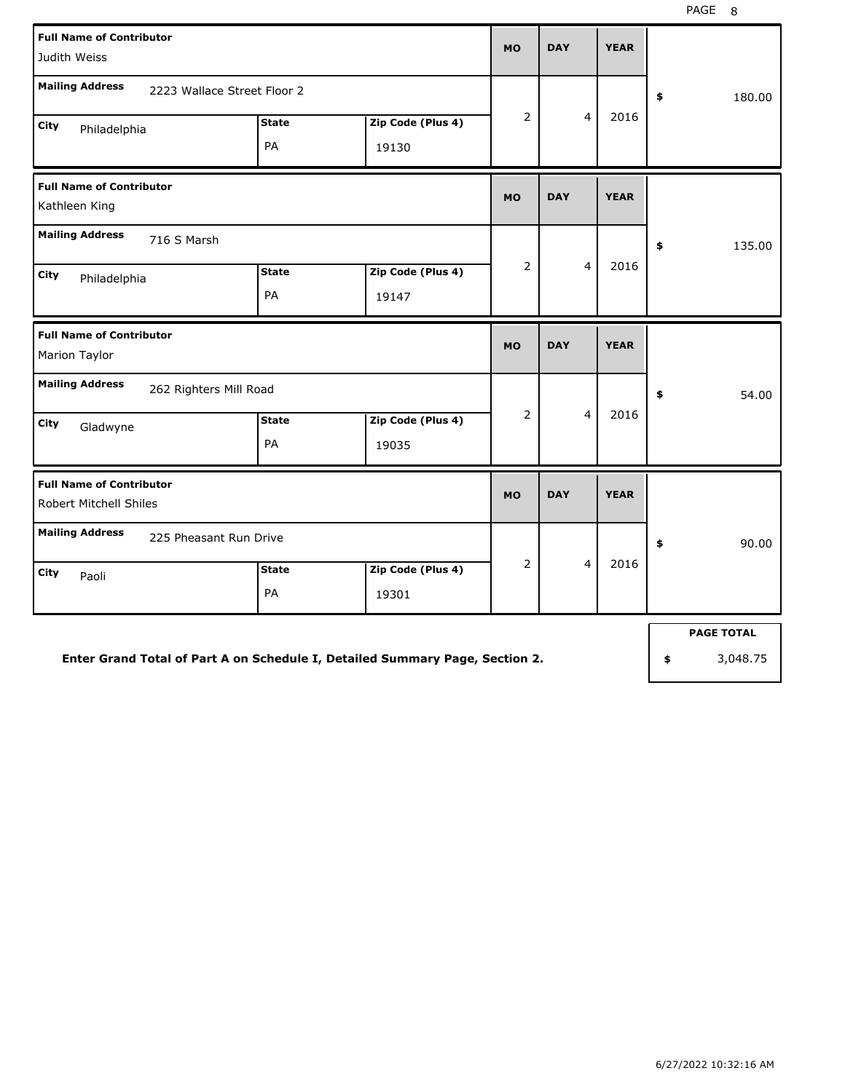| <b>Full Name of Contributor</b><br>Judith Weiss                                                                          |                    | <b>MO</b>                  | <b>DAY</b>     | <b>YEAR</b>             |             |              |
|--------------------------------------------------------------------------------------------------------------------------|--------------------|----------------------------|----------------|-------------------------|-------------|--------------|
| <b>Mailing Address</b><br>2223 Wallace Street Floor 2                                                                    |                    |                            |                |                         |             | \$<br>180.00 |
| City<br>Philadelphia                                                                                                     | <b>State</b><br>PA | Zip Code (Plus 4)<br>19130 | $\overline{2}$ | $\overline{4}$          | 2016        |              |
| <b>Full Name of Contributor</b><br>Kathleen King                                                                         |                    |                            |                | <b>DAY</b>              | <b>YEAR</b> |              |
| <b>Mailing Address</b><br>716 S Marsh<br><b>State</b><br>Zip Code (Plus 4)<br><b>City</b><br>Philadelphia<br>PA<br>19147 |                    |                            |                | $\overline{4}$          | 2016        | \$<br>135.00 |
| <b>Full Name of Contributor</b><br><b>Marion Taylor</b>                                                                  |                    |                            | <b>MO</b>      | <b>DAY</b>              | <b>YEAR</b> |              |
| <b>Mailing Address</b><br>262 Righters Mill Road                                                                         | <b>State</b>       | Zip Code (Plus 4)          | $\overline{2}$ | $\overline{\mathbf{4}}$ | 2016        | \$<br>54.00  |
| <b>City</b><br>Gladwyne                                                                                                  | PA                 | 19035                      |                |                         |             |              |
| <b>Full Name of Contributor</b><br>Robert Mitchell Shiles                                                                |                    |                            |                | <b>DAY</b>              | <b>YEAR</b> |              |
| <b>Mailing Address</b><br>225 Pheasant Run Drive                                                                         |                    |                            |                |                         |             | \$<br>90.00  |
| City<br>Paoli                                                                                                            | <b>State</b><br>PA | Zip Code (Plus 4)<br>19301 | $\overline{2}$ | $\overline{4}$          | 2016        |              |

**Enter Grand Total of Part A on Schedule I, Detailed Summary Page, Section 2.**

**PAGE TOTAL**

**\$** 3,048.75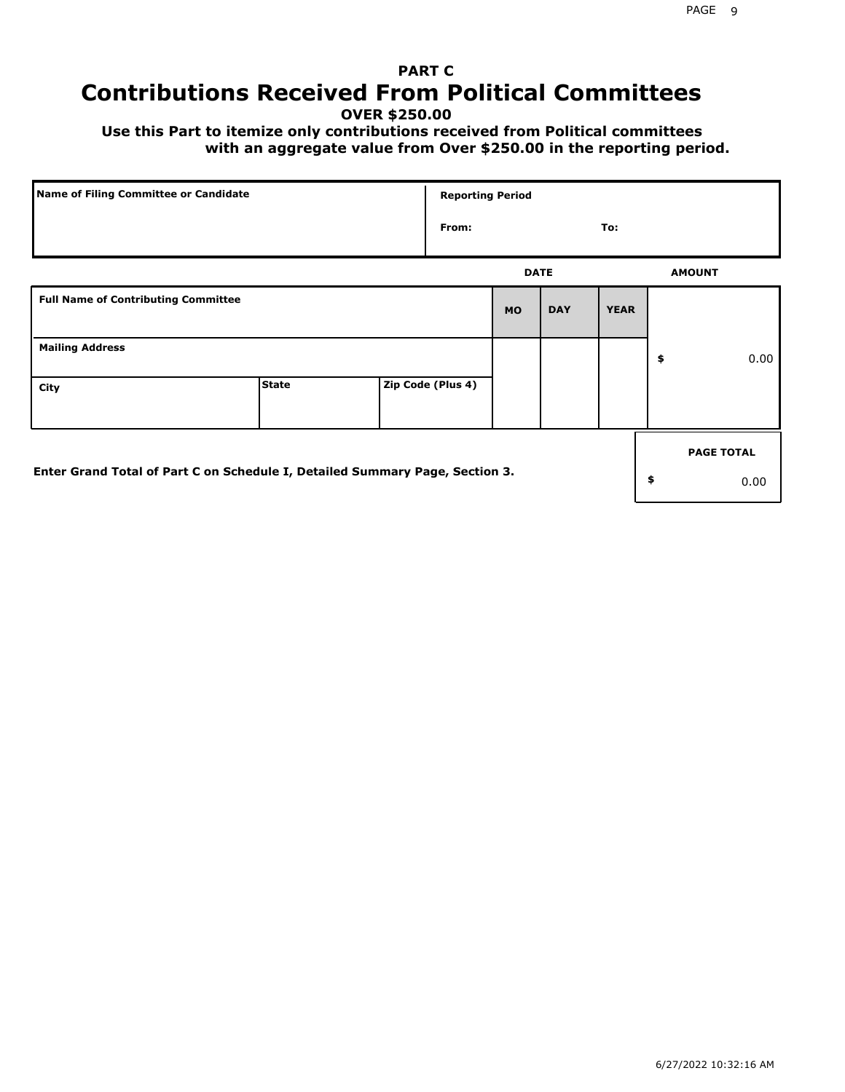## **PART C Contributions Received From Political Committees**

**OVER \$250.00**

 **Use this Part to itemize only contributions received from Political committees with an aggregate value from Over \$250.00 in the reporting period.**

| Name of Filing Committee or Candidate                                        |              | <b>Reporting Period</b> |             |            |             |                   |
|------------------------------------------------------------------------------|--------------|-------------------------|-------------|------------|-------------|-------------------|
|                                                                              |              | From:                   |             |            | To:         |                   |
|                                                                              |              |                         | <b>DATE</b> |            |             | <b>AMOUNT</b>     |
| <b>Full Name of Contributing Committee</b>                                   |              |                         | <b>MO</b>   | <b>DAY</b> | <b>YEAR</b> |                   |
| <b>Mailing Address</b>                                                       |              |                         |             |            |             | \$<br>0.00        |
| City                                                                         | <b>State</b> | Zip Code (Plus 4)       |             |            |             |                   |
|                                                                              |              |                         |             |            |             | <b>PAGE TOTAL</b> |
| Enter Grand Total of Part C on Schedule I, Detailed Summary Page, Section 3. |              |                         |             |            |             | \$<br>0.00        |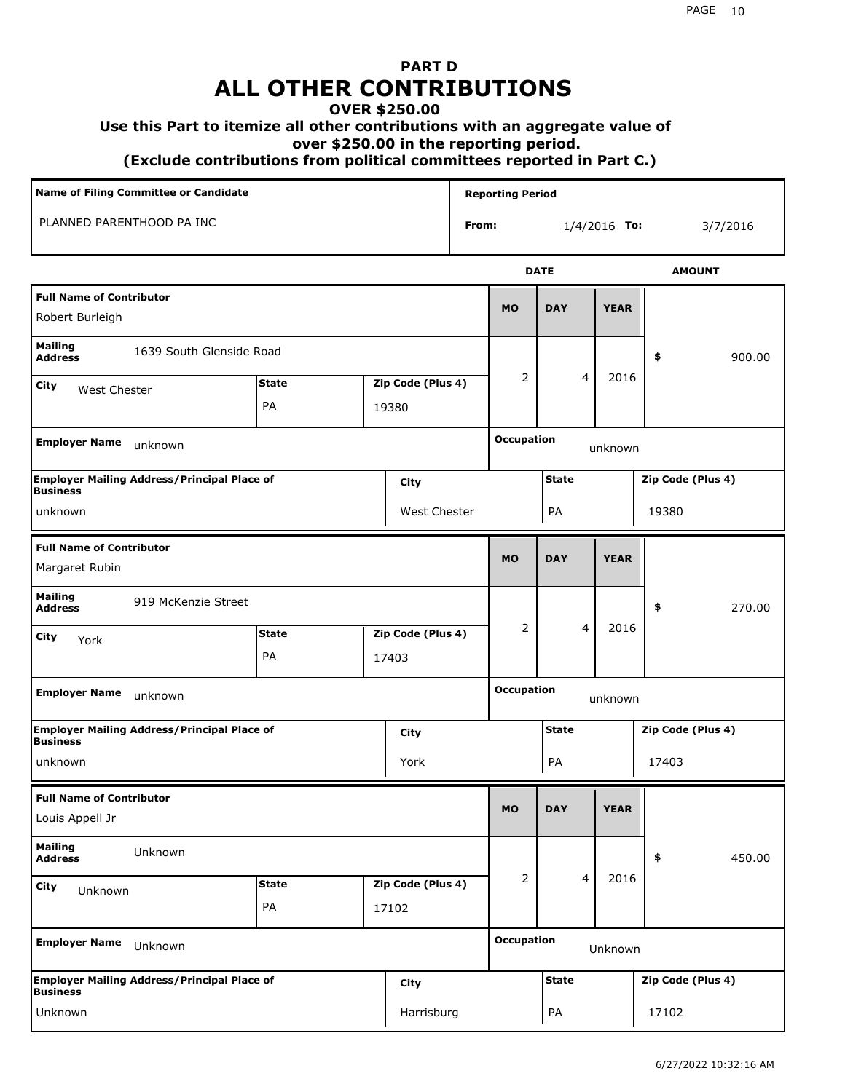# **PART D ALL OTHER CONTRIBUTIONS**

#### **OVER \$250.00**

#### **Use this Part to itemize all other contributions with an aggregate value of**

 **over \$250.00 in the reporting period.**

 **(Exclude contributions from political committees reported in Part C.)** 

| Name of Filing Committee or Candidate                                         |              |       |                   | <b>Reporting Period</b> |                   |                   |                |                   |  |  |
|-------------------------------------------------------------------------------|--------------|-------|-------------------|-------------------------|-------------------|-------------------|----------------|-------------------|--|--|
| PLANNED PARENTHOOD PA INC                                                     |              |       |                   | From:                   |                   |                   | $1/4/2016$ To: | 3/7/2016          |  |  |
|                                                                               |              |       |                   |                         |                   | <b>DATE</b>       |                | <b>AMOUNT</b>     |  |  |
| <b>Full Name of Contributor</b><br>Robert Burleigh                            |              |       |                   |                         | <b>MO</b>         | <b>DAY</b>        | <b>YEAR</b>    |                   |  |  |
| <b>Mailing</b><br>1639 South Glenside Road<br><b>Address</b>                  |              |       |                   |                         |                   |                   |                | 900.00<br>\$      |  |  |
| City<br><b>West Chester</b>                                                   | <b>State</b> |       | Zip Code (Plus 4) |                         | 2                 | 4                 | 2016           |                   |  |  |
|                                                                               | PA           | 19380 |                   |                         |                   |                   |                |                   |  |  |
| <b>Employer Name</b><br>unknown                                               |              |       |                   |                         | <b>Occupation</b> |                   | unknown        |                   |  |  |
| <b>Employer Mailing Address/Principal Place of</b><br>City<br><b>Business</b> |              |       |                   | <b>State</b>            |                   | Zip Code (Plus 4) |                |                   |  |  |
| West Chester<br>unknown                                                       |              |       |                   | PA                      |                   |                   | 19380          |                   |  |  |
| <b>Full Name of Contributor</b><br>Margaret Rubin                             |              |       |                   | <b>MO</b>               | <b>DAY</b>        | <b>YEAR</b>       |                |                   |  |  |
| <b>Mailing</b><br>919 McKenzie Street<br><b>Address</b>                       |              |       |                   |                         |                   |                   |                | \$<br>270.00      |  |  |
| City<br>York                                                                  | <b>State</b> |       | Zip Code (Plus 4) |                         | $\overline{2}$    | 4                 | 2016           |                   |  |  |
|                                                                               | PA           |       | 17403             |                         |                   |                   |                |                   |  |  |
| <b>Employer Name</b><br>unknown                                               |              |       |                   |                         | <b>Occupation</b> | unknown           |                |                   |  |  |
| <b>Employer Mailing Address/Principal Place of</b><br><b>Business</b>         |              |       | City              |                         |                   | <b>State</b>      |                | Zip Code (Plus 4) |  |  |
| unknown                                                                       |              |       | York              |                         |                   | PA                |                | 17403             |  |  |
| <b>Full Name of Contributor</b><br>Louis Appell Jr                            |              |       |                   |                         | <b>MO</b>         | <b>DAY</b>        | <b>YEAR</b>    |                   |  |  |
| <b>Mailing</b><br>Unknown<br><b>Address</b>                                   |              |       |                   |                         |                   |                   |                | \$<br>450.00      |  |  |
| <b>City</b><br>Unknown                                                        | <b>State</b> |       | Zip Code (Plus 4) |                         | 2                 | $\overline{4}$    | 2016           |                   |  |  |
|                                                                               | PA           |       | 17102             |                         |                   |                   |                |                   |  |  |
| <b>Employer Name</b><br>Unknown                                               |              |       |                   | <b>Occupation</b>       | Unknown           |                   |                |                   |  |  |
| <b>Employer Mailing Address/Principal Place of</b><br><b>Business</b>         |              |       | <b>City</b>       |                         | <b>State</b>      |                   |                | Zip Code (Plus 4) |  |  |
| Unknown                                                                       |              |       | Harrisburg        |                         |                   | PA                |                | 17102             |  |  |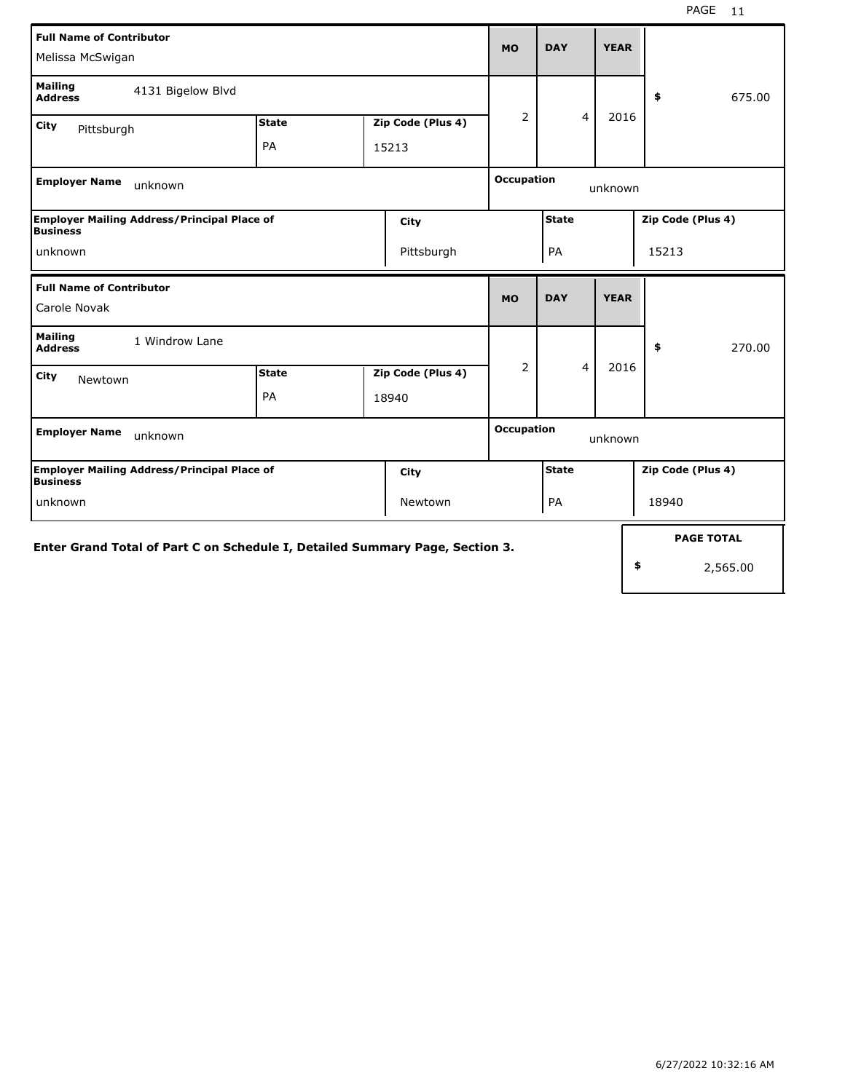| <b>Full Name of Contributor</b><br>Melissa McSwigan                           |              |  |                   |                              |                              | <b>YEAR</b> |                   |                   |  |
|-------------------------------------------------------------------------------|--------------|--|-------------------|------------------------------|------------------------------|-------------|-------------------|-------------------|--|
| <b>Mailing</b><br>4131 Bigelow Blvd<br><b>Address</b>                         |              |  |                   |                              |                              |             |                   | \$<br>675.00      |  |
| City<br>Pittsburgh                                                            | <b>State</b> |  | Zip Code (Plus 4) | $\overline{2}$               | $\overline{4}$               | 2016        |                   |                   |  |
|                                                                               | PA           |  | 15213             |                              |                              |             |                   |                   |  |
| <b>Employer Name</b><br>unknown                                               |              |  |                   |                              | <b>Occupation</b><br>unknown |             |                   |                   |  |
| <b>Employer Mailing Address/Principal Place of</b><br>City<br><b>Business</b> |              |  |                   |                              | <b>State</b>                 |             |                   | Zip Code (Plus 4) |  |
| Pittsburgh<br>unknown                                                         |              |  |                   |                              | PA                           |             |                   | 15213             |  |
| <b>Full Name of Contributor</b>                                               |              |  |                   | <b>MO</b>                    | <b>DAY</b>                   | <b>YEAR</b> |                   |                   |  |
| Carole Novak                                                                  |              |  |                   |                              |                              |             |                   |                   |  |
| <b>Mailing</b><br>1 Windrow Lane<br><b>Address</b>                            |              |  |                   |                              |                              |             |                   | \$<br>270.00      |  |
| City<br>Newtown                                                               | <b>State</b> |  | Zip Code (Plus 4) | 2                            | 4                            | 2016        |                   |                   |  |
|                                                                               | PA           |  | 18940             |                              |                              |             |                   |                   |  |
| <b>Employer Name</b><br>unknown                                               |              |  |                   | <b>Occupation</b><br>unknown |                              |             |                   |                   |  |
| Employer Mailing Address/Principal Place of<br><b>Business</b>                |              |  | City              |                              | <b>State</b>                 |             |                   | Zip Code (Plus 4) |  |
| unknown                                                                       |              |  | Newtown           |                              | PA                           |             |                   | 18940             |  |
| Enter Grand Total of Part C on Schedule I, Detailed Summary Page, Section 3.  |              |  |                   |                              |                              |             | <b>PAGE TOTAL</b> |                   |  |
|                                                                               |              |  |                   |                              |                              | \$          | 2,565.00          |                   |  |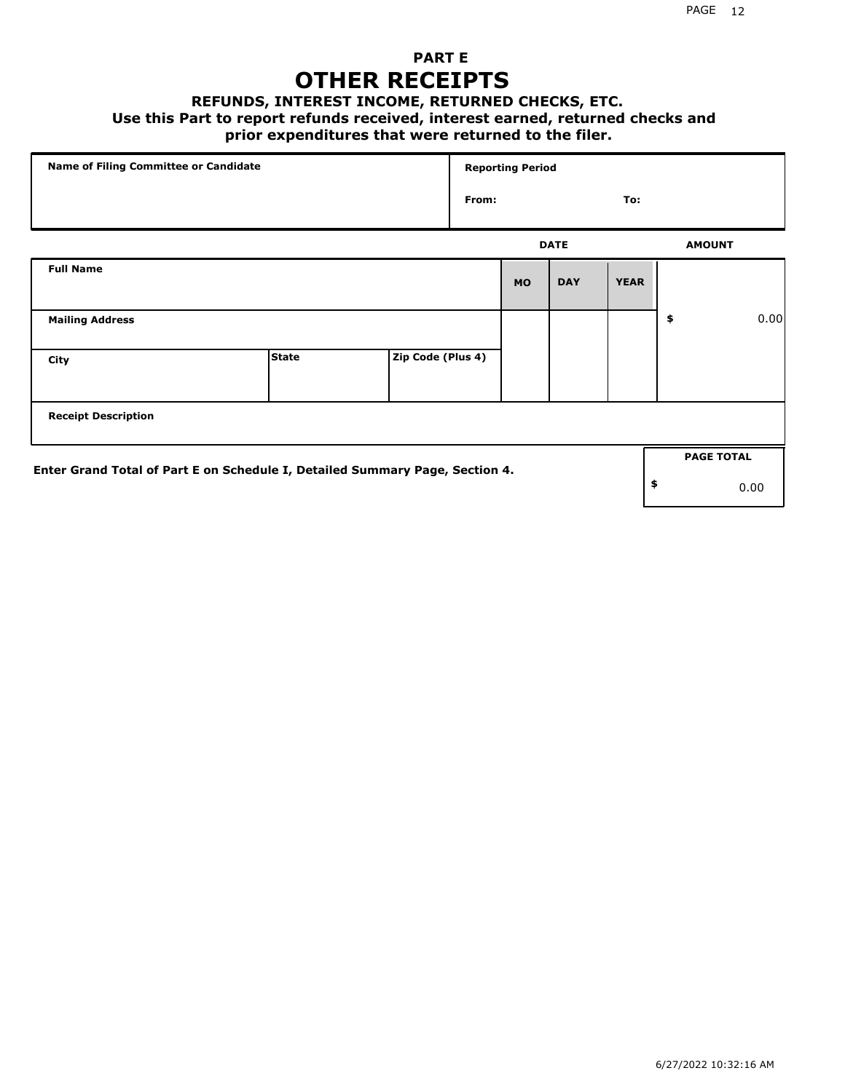## **PART E OTHER RECEIPTS**

#### **REFUNDS, INTEREST INCOME, RETURNED CHECKS, ETC.**

#### **Use this Part to report refunds received, interest earned, returned checks and**

### **prior expenditures that were returned to the filer.**

| Name of Filing Committee or Candidate                                        |              |                   |              | <b>Reporting Period</b> |             |             |    |                   |      |
|------------------------------------------------------------------------------|--------------|-------------------|--------------|-------------------------|-------------|-------------|----|-------------------|------|
|                                                                              |              |                   | From:<br>To: |                         |             |             |    |                   |      |
|                                                                              |              |                   |              |                         | <b>DATE</b> |             |    | <b>AMOUNT</b>     |      |
| <b>Full Name</b>                                                             |              |                   |              | <b>MO</b>               | <b>DAY</b>  | <b>YEAR</b> |    |                   |      |
| <b>Mailing Address</b>                                                       |              |                   |              |                         |             |             | \$ |                   | 0.00 |
| City                                                                         | <b>State</b> | Zip Code (Plus 4) |              |                         |             |             |    |                   |      |
| <b>Receipt Description</b>                                                   |              |                   |              |                         |             |             |    |                   |      |
| Enter Grand Total of Part E on Schedule I, Detailed Summary Page, Section 4. |              |                   |              |                         |             |             |    | <b>PAGE TOTAL</b> |      |
|                                                                              |              |                   |              |                         |             |             | \$ |                   | 0.00 |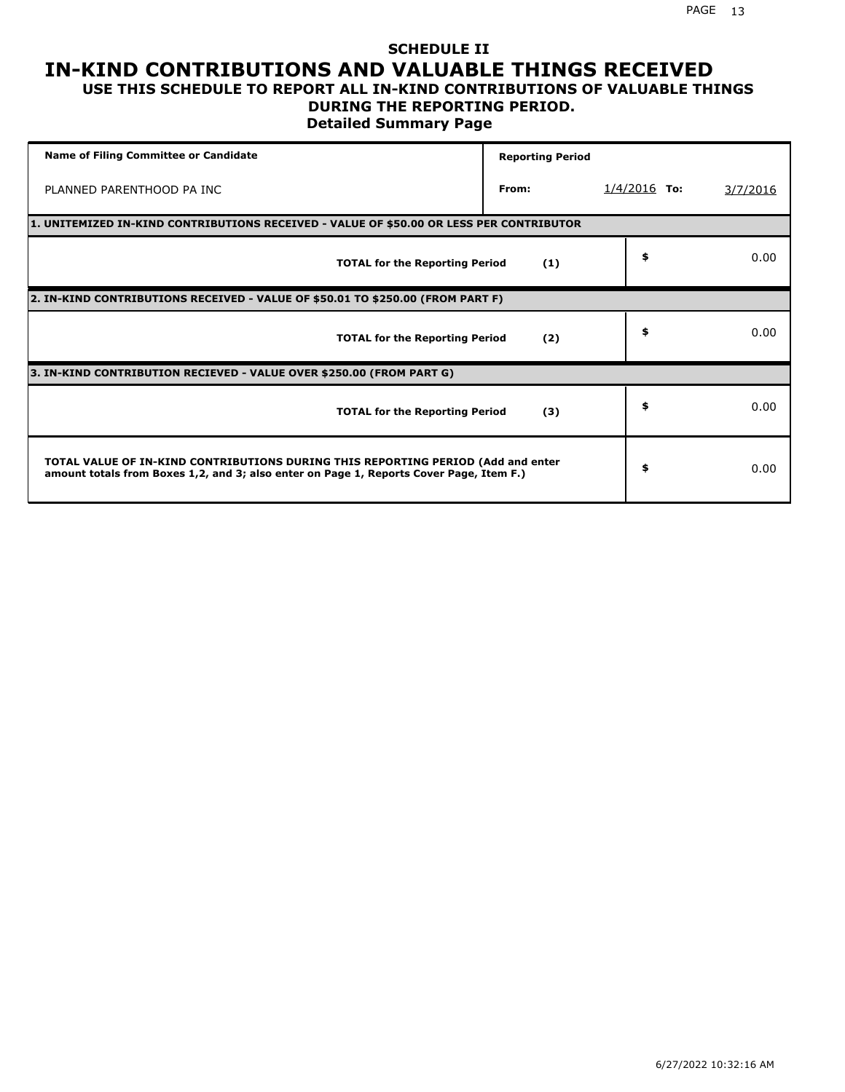#### **SCHEDULE II IN-KIND CONTRIBUTIONS AND VALUABLE THINGS RECEIVED USE THIS SCHEDULE TO REPORT ALL IN-KIND CONTRIBUTIONS OF VALUABLE THINGS**

# **DURING THE REPORTING PERIOD.**

**Detailed Summary Page**

| <b>Name of Filing Committee or Candidate</b>                                                                                                                                | <b>Reporting Period</b> |                |          |
|-----------------------------------------------------------------------------------------------------------------------------------------------------------------------------|-------------------------|----------------|----------|
| PLANNED PARENTHOOD PA INC                                                                                                                                                   | From:                   | $1/4/2016$ To: | 3/7/2016 |
| 1. UNITEMIZED IN-KIND CONTRIBUTIONS RECEIVED - VALUE OF \$50.00 OR LESS PER CONTRIBUTOR                                                                                     |                         |                |          |
| <b>TOTAL for the Reporting Period</b>                                                                                                                                       | (1)                     | \$             | 0.00     |
| 2. IN-KIND CONTRIBUTIONS RECEIVED - VALUE OF \$50.01 TO \$250.00 (FROM PART F)                                                                                              |                         |                |          |
| <b>TOTAL for the Reporting Period</b>                                                                                                                                       | (2)                     | \$             | 0.00     |
| 3. IN-KIND CONTRIBUTION RECIEVED - VALUE OVER \$250.00 (FROM PART G)                                                                                                        |                         |                |          |
| <b>TOTAL for the Reporting Period</b>                                                                                                                                       | (3)                     | \$             | 0.00     |
| TOTAL VALUE OF IN-KIND CONTRIBUTIONS DURING THIS REPORTING PERIOD (Add and enter<br>amount totals from Boxes 1,2, and 3; also enter on Page 1, Reports Cover Page, Item F.) |                         | \$             | 0.00     |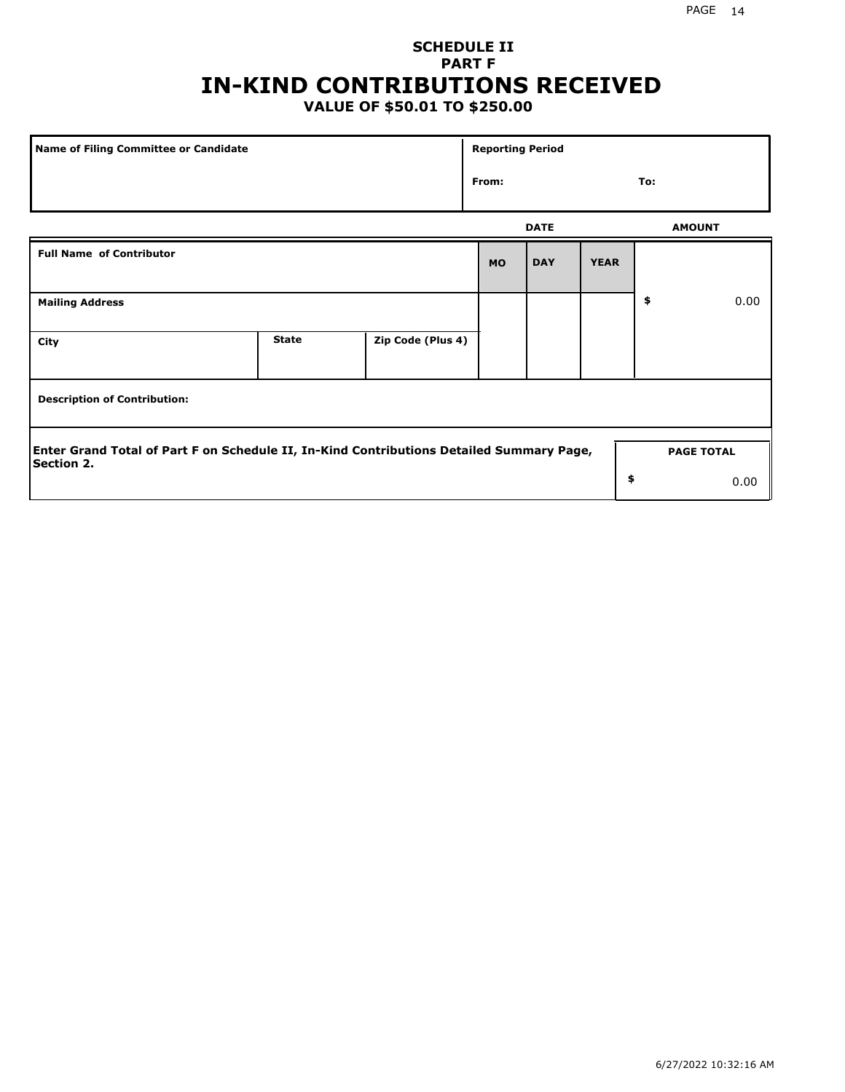## **SCHEDULE II PART F IN-KIND CONTRIBUTIONS RECEIVED**

## **VALUE OF \$50.01 TO \$250.00**

| Name of Filing Committee or Candidate                                                                         |              |                   | <b>Reporting Period</b> |             |             |     |                   |
|---------------------------------------------------------------------------------------------------------------|--------------|-------------------|-------------------------|-------------|-------------|-----|-------------------|
|                                                                                                               |              |                   | From:                   |             |             | To: |                   |
|                                                                                                               |              |                   |                         | <b>DATE</b> |             |     | <b>AMOUNT</b>     |
| <b>Full Name of Contributor</b>                                                                               |              |                   | <b>MO</b>               | <b>DAY</b>  | <b>YEAR</b> |     |                   |
| <b>Mailing Address</b>                                                                                        |              |                   |                         |             |             | \$  | 0.00              |
| City                                                                                                          | <b>State</b> | Zip Code (Plus 4) |                         |             |             |     |                   |
| <b>Description of Contribution:</b>                                                                           |              |                   |                         |             |             |     |                   |
| Enter Grand Total of Part F on Schedule II, In-Kind Contributions Detailed Summary Page,<br><b>Section 2.</b> |              |                   |                         |             |             |     | <b>PAGE TOTAL</b> |
|                                                                                                               |              |                   |                         |             | \$          |     | 0.00              |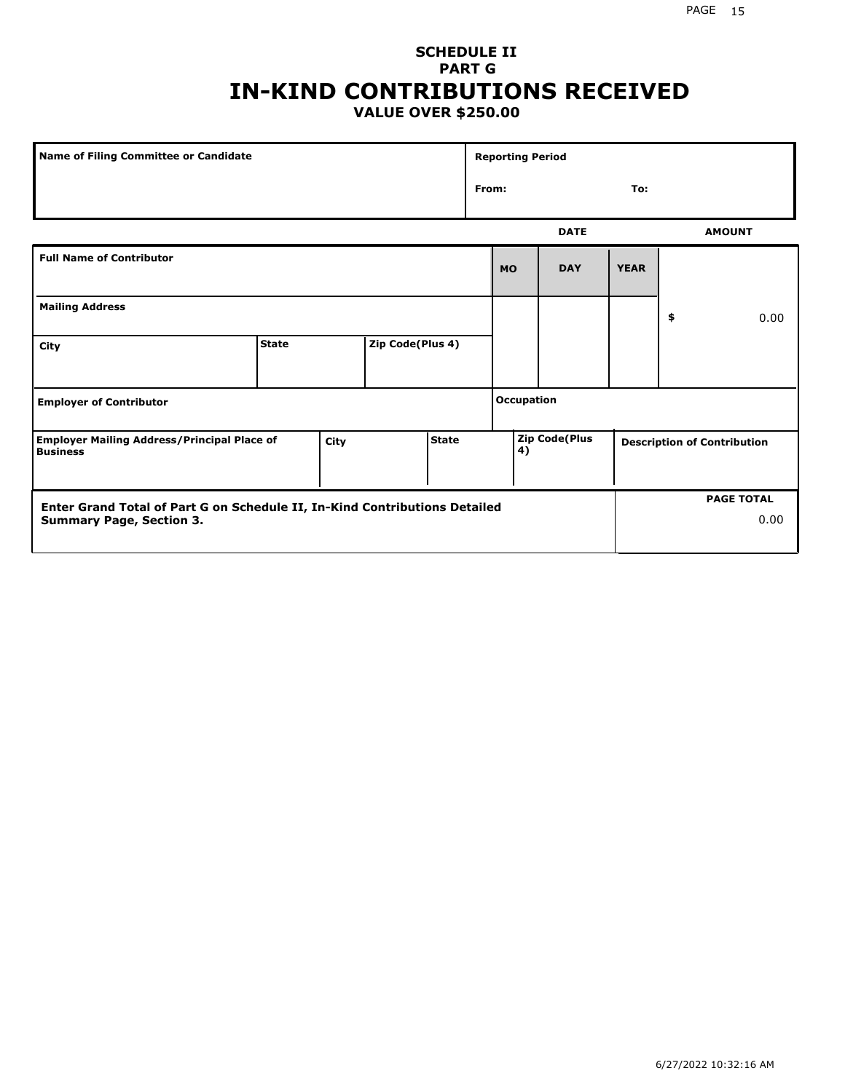### **SCHEDULE II PART G IN-KIND CONTRIBUTIONS RECEIVED VALUE OVER \$250.00**

| <b>Name of Filing Committee or Candidate</b>                          |              |             |                  | <b>Reporting Period</b> |                   |           |                      |             |    |                                    |
|-----------------------------------------------------------------------|--------------|-------------|------------------|-------------------------|-------------------|-----------|----------------------|-------------|----|------------------------------------|
|                                                                       |              |             |                  |                         | From:             |           |                      | To:         |    |                                    |
|                                                                       |              |             |                  |                         |                   |           | <b>DATE</b>          |             |    | <b>AMOUNT</b>                      |
| <b>Full Name of Contributor</b>                                       |              |             |                  |                         |                   | <b>MO</b> | <b>DAY</b>           | <b>YEAR</b> |    |                                    |
| <b>Mailing Address</b>                                                |              |             |                  |                         |                   |           |                      |             | \$ | 0.00                               |
| City                                                                  | <b>State</b> |             | Zip Code(Plus 4) |                         |                   |           |                      |             |    |                                    |
| <b>Employer of Contributor</b>                                        |              |             |                  |                         | <b>Occupation</b> |           |                      |             |    |                                    |
| <b>Employer Mailing Address/Principal Place of</b><br><b>Business</b> |              | <b>City</b> |                  | <b>State</b>            |                   | 4)        | <b>Zip Code(Plus</b> |             |    | <b>Description of Contribution</b> |

| <b>Enter Grand Total of Part G on Schedule II, In-Kind Contributions Detailed</b> |  | <b>PAGE TOTAL</b> |
|-----------------------------------------------------------------------------------|--|-------------------|
| <b>Summary Page, Section 3.</b>                                                   |  | 0.00              |
|                                                                                   |  |                   |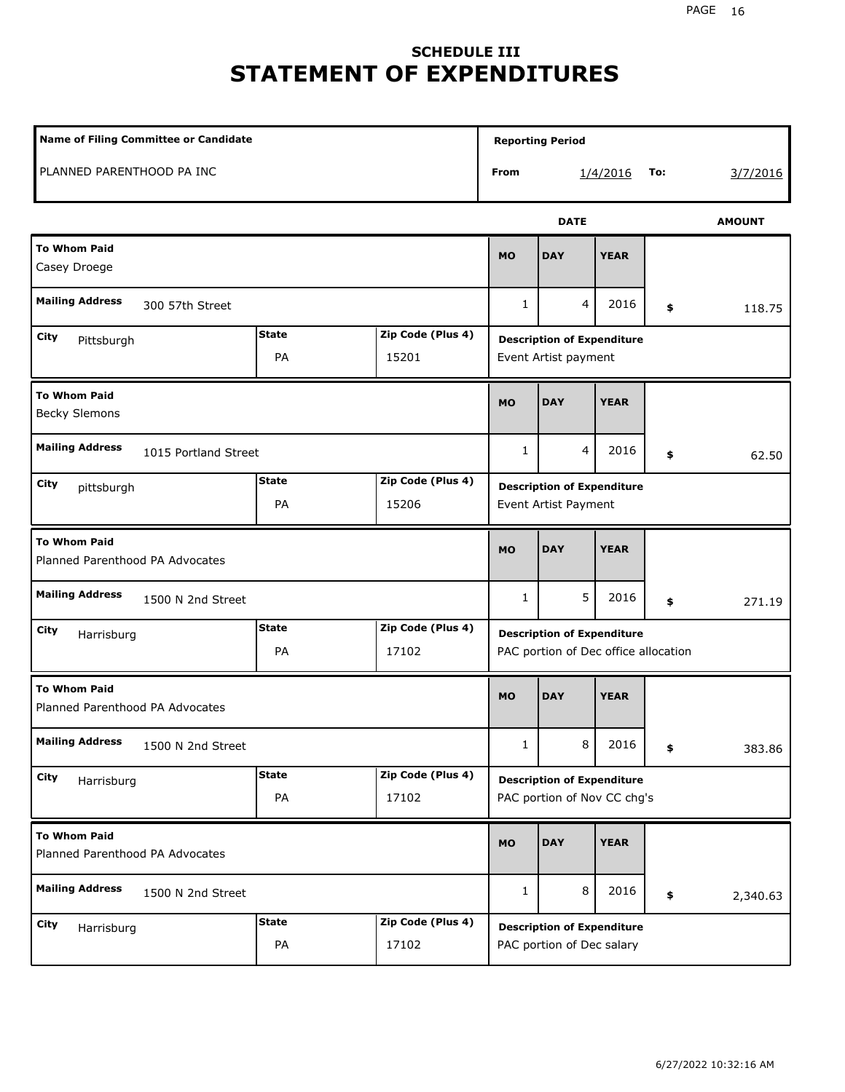# **SCHEDULE III STATEMENT OF EXPENDITURES**

| Name of Filing Committee or Candidate                                  |                    |                            |              | <b>Reporting Period</b>                                                   |             |     |               |  |
|------------------------------------------------------------------------|--------------------|----------------------------|--------------|---------------------------------------------------------------------------|-------------|-----|---------------|--|
| PLANNED PARENTHOOD PA INC                                              |                    |                            | From         |                                                                           | 1/4/2016    | To: | 3/7/2016      |  |
|                                                                        |                    |                            |              | <b>DATE</b>                                                               |             |     | <b>AMOUNT</b> |  |
| <b>To Whom Paid</b><br>Casey Droege                                    |                    |                            |              | <b>DAY</b>                                                                | <b>YEAR</b> |     |               |  |
| <b>Mailing Address</b><br>300 57th Street                              |                    |                            | 1            | 4                                                                         | 2016        | \$  | 118.75        |  |
| <b>State</b><br>Zip Code (Plus 4)<br>City<br>Pittsburgh<br>PA<br>15201 |                    |                            |              | <b>Description of Expenditure</b><br>Event Artist payment                 |             |     |               |  |
| <b>To Whom Paid</b><br><b>Becky Slemons</b>                            |                    |                            | <b>MO</b>    | <b>DAY</b>                                                                | <b>YEAR</b> |     |               |  |
| <b>Mailing Address</b><br>1015 Portland Street                         |                    |                            | $\mathbf{1}$ | 4                                                                         | 2016        | \$  | 62.50         |  |
| <b>State</b><br>Zip Code (Plus 4)<br>City<br>pittsburgh<br>PA<br>15206 |                    |                            |              | <b>Description of Expenditure</b><br>Event Artist Payment                 |             |     |               |  |
| <b>To Whom Paid</b><br>Planned Parenthood PA Advocates                 |                    |                            | <b>MO</b>    | <b>DAY</b>                                                                | <b>YEAR</b> |     |               |  |
| <b>Mailing Address</b><br>1500 N 2nd Street                            |                    |                            | $\mathbf{1}$ | 5                                                                         | 2016        | \$  | 271.19        |  |
| City<br>Harrisburg                                                     | <b>State</b><br>PA | Zip Code (Plus 4)<br>17102 |              | <b>Description of Expenditure</b><br>PAC portion of Dec office allocation |             |     |               |  |
| <b>To Whom Paid</b><br>Planned Parenthood PA Advocates                 |                    |                            | <b>MO</b>    | <b>DAY</b>                                                                | <b>YEAR</b> |     |               |  |
| <b>Mailing Address</b><br>1500 N 2nd Street                            |                    |                            | $\mathbf{1}$ | 8                                                                         | 2016        | \$  | 383.86        |  |
| City<br>Harrisburg                                                     | <b>State</b><br>PA | Zip Code (Plus 4)<br>17102 |              | <b>Description of Expenditure</b><br>PAC portion of Nov CC chg's          |             |     |               |  |
| <b>To Whom Paid</b><br>Planned Parenthood PA Advocates                 |                    |                            | <b>MO</b>    | <b>DAY</b>                                                                | <b>YEAR</b> |     |               |  |
| <b>Mailing Address</b><br>1500 N 2nd Street                            |                    |                            | 1            | 8                                                                         | 2016        | \$  | 2,340.63      |  |
| City<br>Harrisburg                                                     | <b>State</b><br>PA | Zip Code (Plus 4)<br>17102 |              | <b>Description of Expenditure</b><br>PAC portion of Dec salary            |             |     |               |  |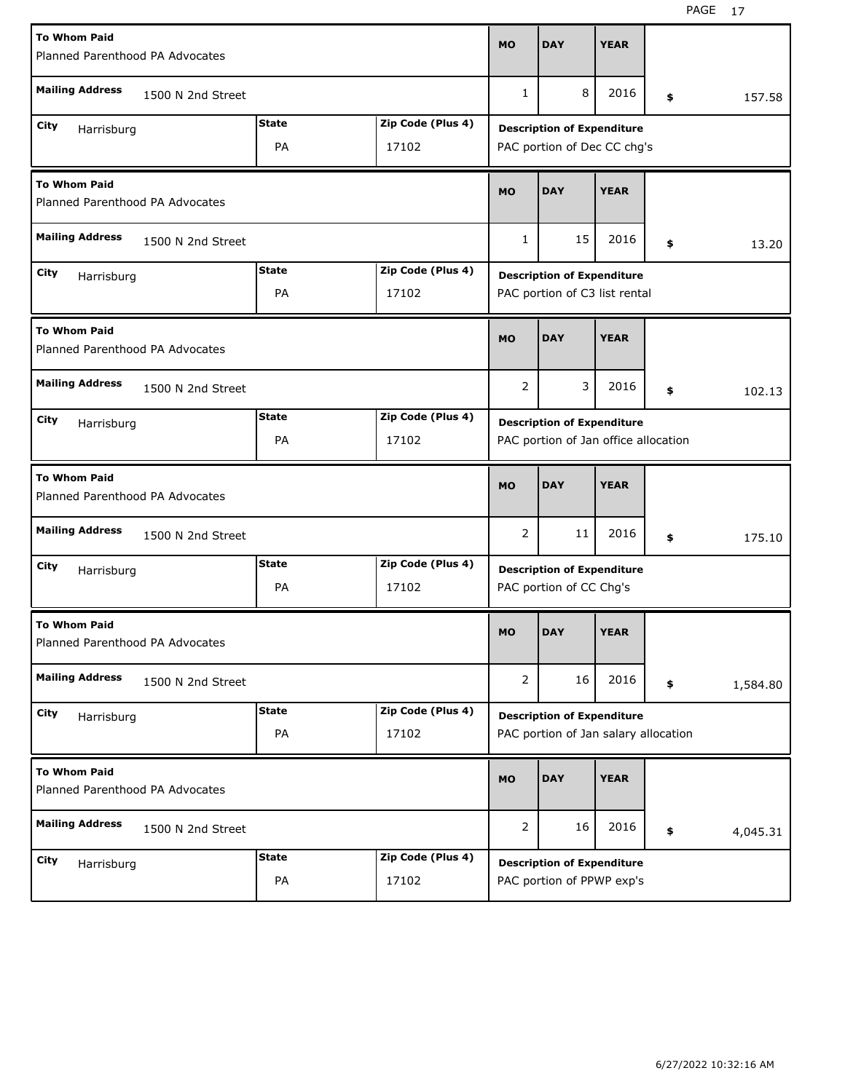| <b>To Whom Paid</b>                                    | Planned Parenthood PA Advocates |              |                   |                |                                                                           | <b>YEAR</b> |    |          |  |
|--------------------------------------------------------|---------------------------------|--------------|-------------------|----------------|---------------------------------------------------------------------------|-------------|----|----------|--|
| <b>Mailing Address</b>                                 | 1500 N 2nd Street               |              |                   | 1              | 8                                                                         | 2016        | \$ | 157.58   |  |
| City<br>Harrisburg                                     |                                 | <b>State</b> | Zip Code (Plus 4) |                | <b>Description of Expenditure</b>                                         |             |    |          |  |
| PA<br>17102                                            |                                 |              |                   |                | PAC portion of Dec CC chg's                                               |             |    |          |  |
| <b>To Whom Paid</b><br>Planned Parenthood PA Advocates |                                 |              |                   | <b>MO</b>      | <b>DAY</b>                                                                | <b>YEAR</b> |    |          |  |
| <b>Mailing Address</b>                                 | 1500 N 2nd Street               |              |                   | $\mathbf{1}$   | 15                                                                        | 2016        | \$ | 13.20    |  |
| City<br>Harrisburg                                     |                                 | <b>State</b> | Zip Code (Plus 4) |                | <b>Description of Expenditure</b>                                         |             |    |          |  |
|                                                        |                                 | PA           | 17102             |                | PAC portion of C3 list rental                                             |             |    |          |  |
| <b>To Whom Paid</b><br>Planned Parenthood PA Advocates |                                 |              |                   | <b>MO</b>      | <b>DAY</b>                                                                | <b>YEAR</b> |    |          |  |
| <b>Mailing Address</b>                                 | 1500 N 2nd Street               |              |                   | $\overline{2}$ | 3                                                                         | 2016        | \$ | 102.13   |  |
| City                                                   |                                 | <b>State</b> | Zip Code (Plus 4) |                | <b>Description of Expenditure</b>                                         |             |    |          |  |
|                                                        | Harrisburg<br>PA<br>17102       |              |                   |                | PAC portion of Jan office allocation                                      |             |    |          |  |
|                                                        |                                 |              |                   |                |                                                                           |             |    |          |  |
| <b>To Whom Paid</b><br>Planned Parenthood PA Advocates |                                 |              |                   | <b>MO</b>      | <b>DAY</b>                                                                | <b>YEAR</b> |    |          |  |
| <b>Mailing Address</b>                                 | 1500 N 2nd Street               |              |                   | $\overline{2}$ | 11                                                                        | 2016        | \$ | 175.10   |  |
| City                                                   |                                 | <b>State</b> | Zip Code (Plus 4) |                |                                                                           |             |    |          |  |
| Harrisburg                                             |                                 | PA           | 17102             |                | <b>Description of Expenditure</b><br>PAC portion of CC Chg's              |             |    |          |  |
| <b>To Whom Paid</b><br>Planned Parenthood PA Advocates |                                 |              |                   | <b>MO</b>      | <b>DAY</b>                                                                | <b>YEAR</b> |    |          |  |
| <b>Mailing Address</b>                                 | 1500 N 2nd Street               |              |                   | $\overline{2}$ | 16                                                                        | 2016        | \$ | 1,584.80 |  |
| City                                                   |                                 | <b>State</b> | Zip Code (Plus 4) |                |                                                                           |             |    |          |  |
| Harrisburg                                             |                                 | PA           | 17102             |                | <b>Description of Expenditure</b><br>PAC portion of Jan salary allocation |             |    |          |  |
| <b>To Whom Paid</b><br>Planned Parenthood PA Advocates |                                 |              |                   | <b>MO</b>      | <b>DAY</b>                                                                | <b>YEAR</b> |    |          |  |
| <b>Mailing Address</b>                                 | 1500 N 2nd Street               |              |                   | $\overline{2}$ | 16                                                                        | 2016        | \$ | 4,045.31 |  |
| City<br>Harrisburg                                     |                                 | <b>State</b> | Zip Code (Plus 4) |                | <b>Description of Expenditure</b>                                         |             |    |          |  |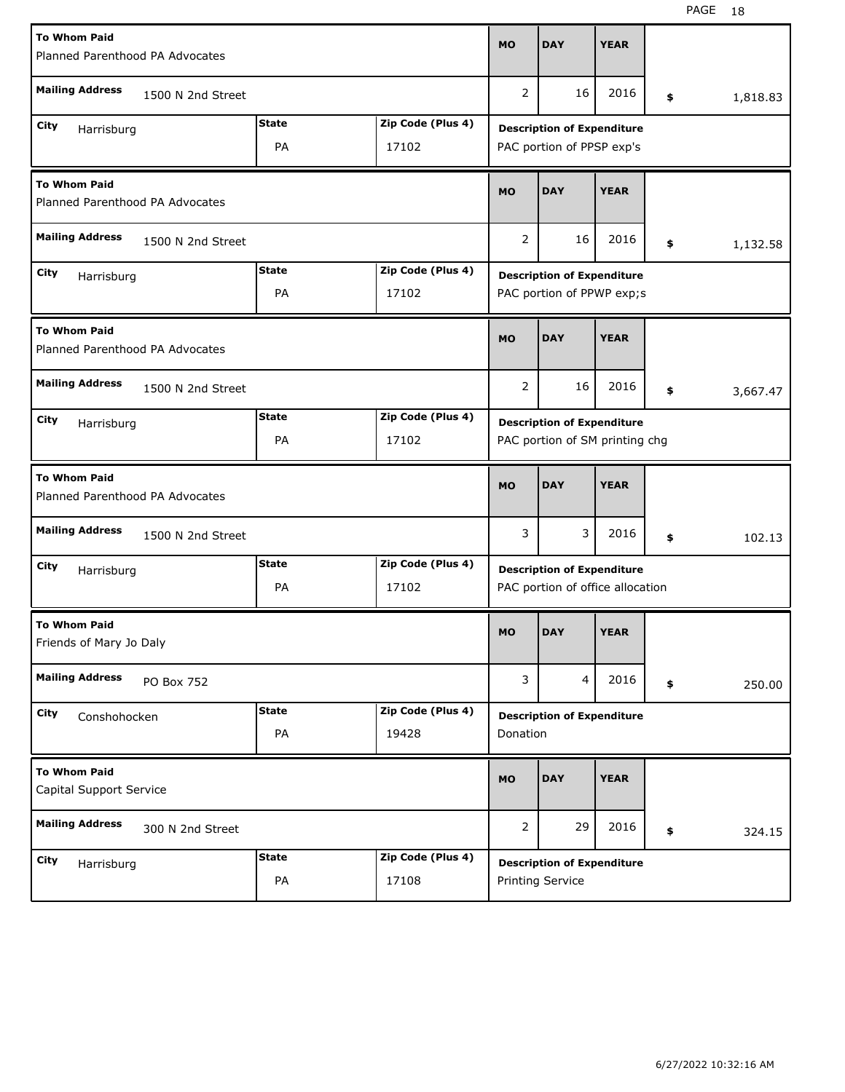| <b>To Whom Paid</b><br>Planned Parenthood PA Advocates | <b>MO</b>                         | <b>DAY</b>        | <b>YEAR</b>                       |                                   |                                   |    |          |  |  |
|--------------------------------------------------------|-----------------------------------|-------------------|-----------------------------------|-----------------------------------|-----------------------------------|----|----------|--|--|
|                                                        |                                   |                   |                                   |                                   |                                   |    |          |  |  |
| <b>Mailing Address</b><br>1500 N 2nd Street            |                                   |                   | $\overline{2}$                    | 16                                | 2016                              | \$ | 1,818.83 |  |  |
| City<br>Harrisburg                                     | <b>State</b>                      | Zip Code (Plus 4) | <b>Description of Expenditure</b> |                                   |                                   |    |          |  |  |
|                                                        | PA                                | 17102             |                                   | PAC portion of PPSP exp's         |                                   |    |          |  |  |
| <b>To Whom Paid</b><br>Planned Parenthood PA Advocates |                                   |                   |                                   | <b>DAY</b>                        | <b>YEAR</b>                       |    |          |  |  |
| <b>Mailing Address</b><br>1500 N 2nd Street            |                                   |                   |                                   | 16                                | 2016                              | \$ | 1,132.58 |  |  |
| City<br>Harrisburg                                     | <b>State</b><br>Zip Code (Plus 4) |                   |                                   |                                   | <b>Description of Expenditure</b> |    |          |  |  |
|                                                        | PA                                | 17102             |                                   | PAC portion of PPWP exp;s         |                                   |    |          |  |  |
| <b>To Whom Paid</b><br>Planned Parenthood PA Advocates |                                   |                   | <b>MO</b>                         | <b>DAY</b>                        | <b>YEAR</b>                       |    |          |  |  |
| <b>Mailing Address</b><br>1500 N 2nd Street            |                                   |                   | 2                                 | 16                                | 2016                              | \$ | 3,667.47 |  |  |
| City<br>Harrisburg                                     | <b>State</b>                      | Zip Code (Plus 4) |                                   | <b>Description of Expenditure</b> |                                   |    |          |  |  |
|                                                        | PA                                | 17102             |                                   | PAC portion of SM printing chg    |                                   |    |          |  |  |
|                                                        |                                   |                   |                                   |                                   |                                   |    |          |  |  |
| <b>To Whom Paid</b><br>Planned Parenthood PA Advocates |                                   |                   | <b>MO</b>                         | <b>DAY</b>                        | <b>YEAR</b>                       |    |          |  |  |
| <b>Mailing Address</b><br>1500 N 2nd Street            |                                   |                   | 3                                 | 3                                 | 2016                              | \$ | 102.13   |  |  |
| City                                                   | <b>State</b>                      | Zip Code (Plus 4) |                                   | <b>Description of Expenditure</b> |                                   |    |          |  |  |
| Harrisburg                                             | PA                                | 17102             |                                   | PAC portion of office allocation  |                                   |    |          |  |  |
| <b>To Whom Paid</b><br>Friends of Mary Jo Daly         |                                   |                   | <b>MO</b>                         | <b>DAY</b>                        | <b>YEAR</b>                       |    |          |  |  |
| <b>Mailing Address</b><br>PO Box 752                   |                                   |                   | 3                                 | 4                                 | 2016                              | \$ | 250.00   |  |  |
| City<br>Conshohocken                                   | <b>State</b>                      | Zip Code (Plus 4) |                                   | <b>Description of Expenditure</b> |                                   |    |          |  |  |
|                                                        | PA                                | 19428             | Donation                          |                                   |                                   |    |          |  |  |
| <b>To Whom Paid</b><br>Capital Support Service         |                                   |                   | <b>MO</b>                         | <b>DAY</b>                        | <b>YEAR</b>                       |    |          |  |  |
| <b>Mailing Address</b><br>300 N 2nd Street             |                                   |                   | 2                                 | 29                                | 2016                              | \$ | 324.15   |  |  |
| <b>City</b><br>Harrisburg                              | <b>State</b>                      | Zip Code (Plus 4) |                                   | <b>Description of Expenditure</b> |                                   |    |          |  |  |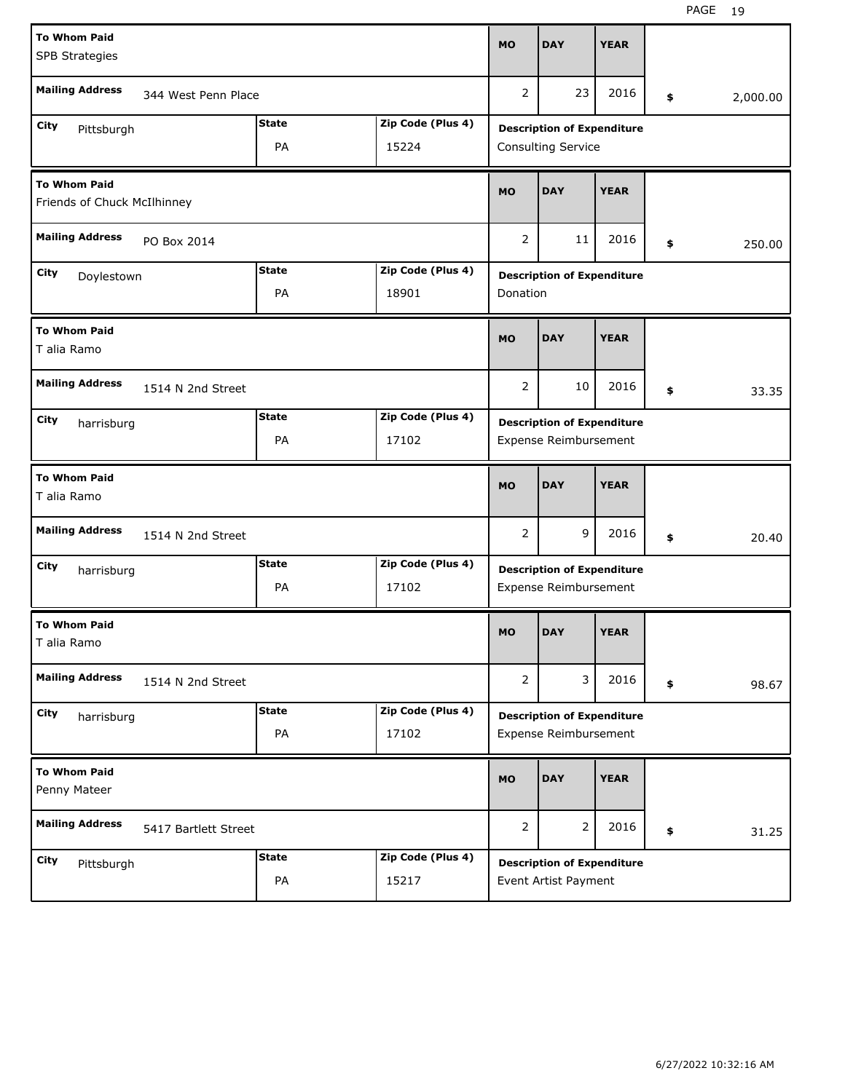| <b>To Whom Paid</b><br><b>SPB Strategies</b>            |                           |              |                   |                       | <b>DAY</b>                                                | <b>YEAR</b> |                |
|---------------------------------------------------------|---------------------------|--------------|-------------------|-----------------------|-----------------------------------------------------------|-------------|----------------|
| <b>Mailing Address</b>                                  | 344 West Penn Place       |              |                   | 2                     | 23                                                        | 2016        | \$<br>2,000.00 |
| City<br>Pittsburgh                                      |                           | <b>State</b> | Zip Code (Plus 4) |                       | <b>Description of Expenditure</b>                         |             |                |
|                                                         |                           | PA           | 15224             |                       | Consulting Service                                        |             |                |
| <b>To Whom Paid</b><br>Friends of Chuck McIlhinney      |                           |              |                   |                       | <b>DAY</b>                                                | <b>YEAR</b> |                |
| <b>Mailing Address</b><br>PO Box 2014                   |                           |              |                   | 2                     | 11                                                        | 2016        | \$<br>250.00   |
| <b>State</b><br>Zip Code (Plus 4)<br>City<br>Doylestown |                           |              |                   |                       | <b>Description of Expenditure</b>                         |             |                |
|                                                         |                           | PA           | 18901             | Donation              |                                                           |             |                |
| <b>To Whom Paid</b><br>T alia Ramo                      |                           |              |                   |                       | <b>DAY</b>                                                | <b>YEAR</b> |                |
| <b>Mailing Address</b>                                  | 1514 N 2nd Street         |              |                   | $\overline{2}$        | 10                                                        | 2016        | \$<br>33.35    |
| City<br>harrisburg                                      |                           | <b>State</b> | Zip Code (Plus 4) |                       | <b>Description of Expenditure</b>                         |             |                |
|                                                         |                           | PA           | 17102             |                       | Expense Reimbursement                                     |             |                |
| <b>To Whom Paid</b><br>T alia Ramo                      |                           |              |                   | <b>MO</b>             | <b>DAY</b>                                                | <b>YEAR</b> |                |
| <b>Mailing Address</b>                                  | 1514 N 2nd Street         |              |                   | 2                     | 9                                                         | 2016        | \$<br>20.40    |
| City                                                    |                           |              |                   |                       |                                                           |             |                |
|                                                         | harrisburg<br>PA<br>17102 |              |                   |                       | <b>Description of Expenditure</b>                         |             |                |
|                                                         |                           | <b>State</b> | Zip Code (Plus 4) |                       | Expense Reimbursement                                     |             |                |
| <b>To Whom Paid</b><br>T alia Ramo                      |                           |              |                   | <b>MO</b>             | <b>DAY</b>                                                | <b>YEAR</b> |                |
| <b>Mailing Address</b>                                  | 1514 N 2nd Street         |              |                   | $\mathbf{2}^{\prime}$ | 3                                                         | 2016        | \$<br>98.67    |
| City                                                    |                           | <b>State</b> | Zip Code (Plus 4) |                       | <b>Description of Expenditure</b>                         |             |                |
| harrisburg                                              |                           | PA           | 17102             |                       | Expense Reimbursement                                     |             |                |
| <b>To Whom Paid</b><br>Penny Mateer                     |                           |              |                   | MO                    | <b>DAY</b>                                                | <b>YEAR</b> |                |
| <b>Mailing Address</b>                                  | 5417 Bartlett Street      |              |                   | $\overline{2}$        | $\overline{2}$                                            | 2016        | \$<br>31.25    |
| City                                                    |                           | <b>State</b> | Zip Code (Plus 4) |                       |                                                           |             |                |
| Pittsburgh                                              |                           | PA           | 15217             |                       | <b>Description of Expenditure</b><br>Event Artist Payment |             |                |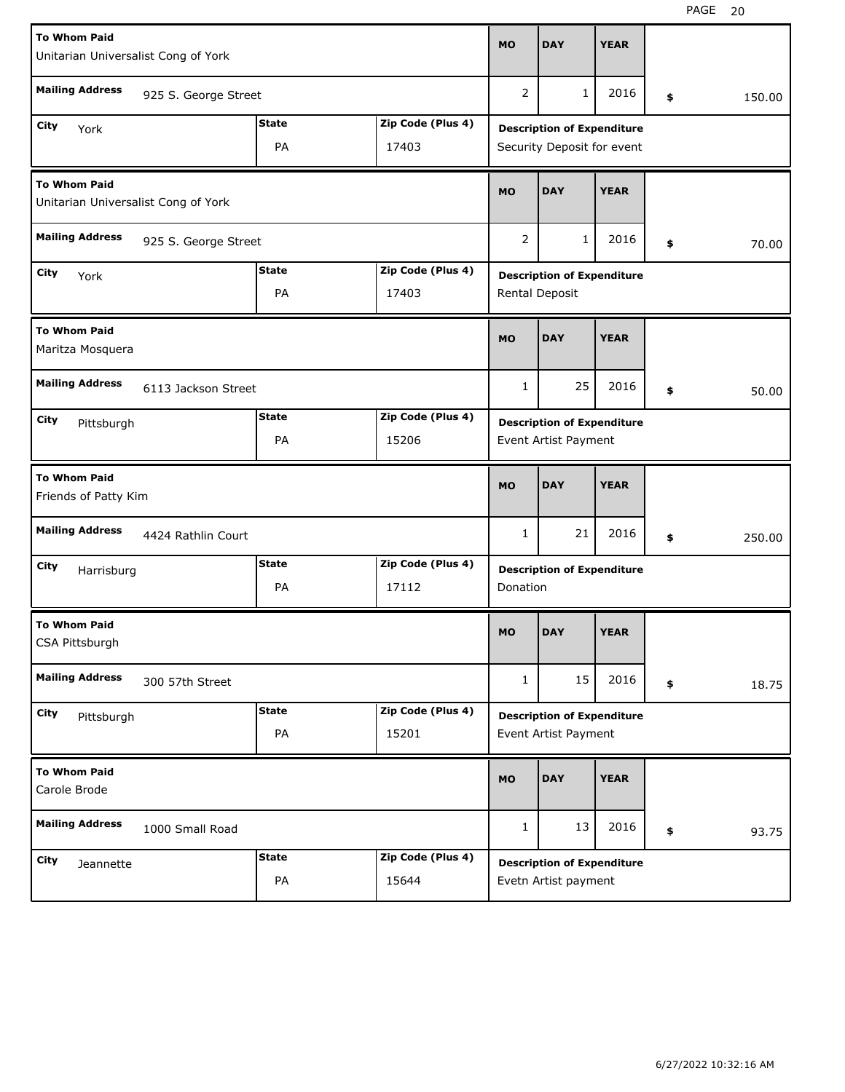| <b>To Whom Paid</b><br>Unitarian Universalist Cong of York |                      |              |                   | <b>MO</b>                         | <b>DAY</b>                                                | <b>YEAR</b> |    |        |  |
|------------------------------------------------------------|----------------------|--------------|-------------------|-----------------------------------|-----------------------------------------------------------|-------------|----|--------|--|
| <b>Mailing Address</b>                                     | 925 S. George Street |              |                   | 2                                 | 1                                                         | 2016        | \$ | 150.00 |  |
| City<br>York                                               |                      | <b>State</b> | Zip Code (Plus 4) |                                   | <b>Description of Expenditure</b>                         |             |    |        |  |
|                                                            |                      | PA           | 17403             |                                   | Security Deposit for event                                |             |    |        |  |
| <b>To Whom Paid</b><br>Unitarian Universalist Cong of York |                      |              |                   |                                   | <b>DAY</b>                                                | <b>YEAR</b> |    |        |  |
| <b>Mailing Address</b><br>925 S. George Street             |                      |              |                   |                                   | $\mathbf{1}$                                              | 2016        | \$ | 70.00  |  |
| <b>State</b><br>Zip Code (Plus 4)<br>City<br>York          |                      |              |                   |                                   | <b>Description of Expenditure</b>                         |             |    |        |  |
|                                                            |                      | PA           | 17403             |                                   | Rental Deposit                                            |             |    |        |  |
| <b>To Whom Paid</b><br>Maritza Mosquera                    |                      |              |                   | <b>MO</b>                         | <b>DAY</b>                                                | <b>YEAR</b> |    |        |  |
| <b>Mailing Address</b>                                     | 6113 Jackson Street  |              |                   | $\mathbf{1}$                      | 25                                                        | 2016        | \$ | 50.00  |  |
| City<br>Pittsburgh                                         |                      | <b>State</b> | Zip Code (Plus 4) | <b>Description of Expenditure</b> |                                                           |             |    |        |  |
|                                                            |                      | PA           | 15206             |                                   | Event Artist Payment                                      |             |    |        |  |
| <b>To Whom Paid</b><br>Friends of Patty Kim                |                      |              |                   | <b>MO</b>                         | <b>DAY</b>                                                | <b>YEAR</b> |    |        |  |
| <b>Mailing Address</b>                                     | 4424 Rathlin Court   |              |                   | 1                                 | 21                                                        | 2016        | \$ | 250.00 |  |
| City<br>Harrisburg                                         |                      | <b>State</b> | Zip Code (Plus 4) |                                   | <b>Description of Expenditure</b>                         |             |    |        |  |
|                                                            |                      | PA           | 17112             | Donation                          |                                                           |             |    |        |  |
| <b>To Whom Paid</b><br>CSA Pittsburgh                      |                      |              |                   | MO                                | <b>DAY</b>                                                | <b>YEAR</b> |    |        |  |
| <b>Mailing Address</b>                                     | 300 57th Street      |              |                   | $\mathbf{1}$                      | 15                                                        | 2016        | \$ | 18.75  |  |
| City<br>Pittsburgh                                         |                      | <b>State</b> | Zip Code (Plus 4) |                                   | <b>Description of Expenditure</b>                         |             |    |        |  |
|                                                            |                      | PA           | 15201             |                                   | Event Artist Payment                                      |             |    |        |  |
| <b>To Whom Paid</b><br>Carole Brode                        |                      |              |                   | <b>MO</b>                         | <b>DAY</b>                                                | <b>YEAR</b> |    |        |  |
| <b>Mailing Address</b><br>1000 Small Road                  |                      |              |                   | 1                                 | 13                                                        | 2016        | \$ | 93.75  |  |
|                                                            |                      |              |                   |                                   |                                                           |             |    |        |  |
| City                                                       |                      | <b>State</b> | Zip Code (Plus 4) |                                   |                                                           |             |    |        |  |
| Jeannette                                                  |                      | PA           | 15644             |                                   | <b>Description of Expenditure</b><br>Evetn Artist payment |             |    |        |  |